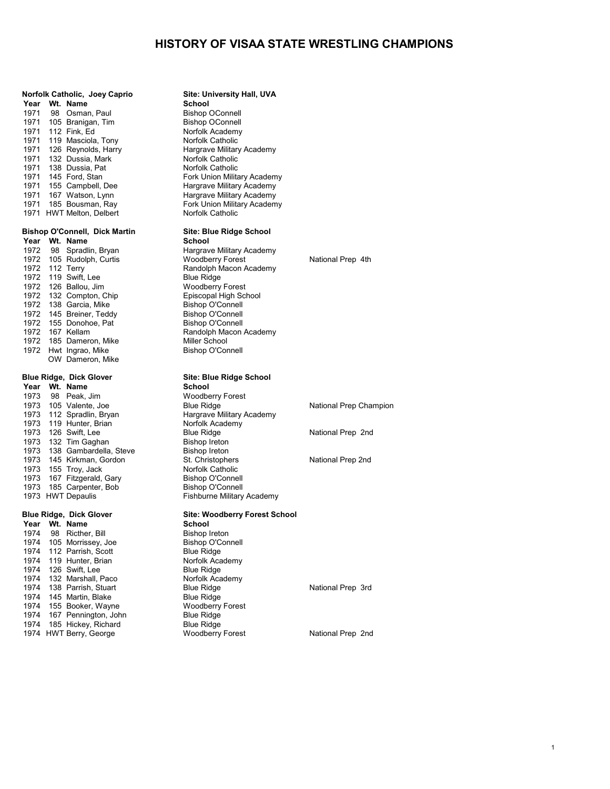|      |    | Norfolk Catholic, Joey Caprio             | Site: University Hall, UVA        |  |
|------|----|-------------------------------------------|-----------------------------------|--|
|      |    | Year Wt. Name                             | <b>School</b>                     |  |
|      |    | 1971 98 Osman, Paul                       | <b>Bishop OConnell</b>            |  |
|      |    | 1971 105 Branigan, Tim                    | <b>Bishop OConnell</b>            |  |
|      |    | 1971 112 Fink, Ed                         | Norfolk Academy                   |  |
|      |    | 1971 119 Masciola, Tony                   | Norfolk Catholic                  |  |
|      |    | 1971 126 Reynolds, Harry                  | Hargrave Military Academy         |  |
| 1971 |    | 132 Dussia, Mark                          | Norfolk Catholic                  |  |
| 1971 |    | 138 Dussia, Pat                           | Norfolk Catholic                  |  |
| 1971 |    | 145 Ford, Stan                            | Fork Union Military Academy       |  |
|      |    | 1971 155 Campbell, Dee                    | Hargrave Military Academy         |  |
|      |    | 1971 167 Watson, Lynn                     | Hargrave Military Academy         |  |
|      |    | 1971 185 Bousman, Ray                     | Fork Union Military Academy       |  |
|      |    | 1971 HWT Melton, Delbert                  | <b>Norfolk Catholic</b>           |  |
|      |    | <b>Bishop O'Connell, Dick Martin</b>      | Site: Blue Ridge School           |  |
|      |    | Year Wt. Name                             | School                            |  |
|      |    | 1972 98 Spradlin, Bryan                   | Hargrave Military Academy         |  |
|      |    | 1972 105 Rudolph, Curtis                  | <b>Woodberry Forest</b>           |  |
|      |    | 1972 112 Terry                            | Randolph Macon Academy            |  |
|      |    | 1972 119 Swift, Lee                       | <b>Blue Ridge</b>                 |  |
|      |    | 1972 126 Ballou, Jim                      | <b>Woodberry Forest</b>           |  |
|      |    | 1972 132 Compton, Chip                    | Episcopal High School             |  |
|      |    | 1972 138 Garcia, Mike                     | <b>Bishop O'Connell</b>           |  |
| 1972 |    | 145 Breiner, Teddy                        | <b>Bishop O'Connell</b>           |  |
|      |    | 1972 155 Donohoe, Pat                     | <b>Bishop O'Connell</b>           |  |
| 1972 |    | 167 Kellam                                | Randolph Macon Academy            |  |
|      |    | 1972 185 Dameron, Mike                    | Miller School                     |  |
| 1972 |    | Hwt Ingrao, Mike                          | <b>Bishop O'Connell</b>           |  |
|      |    | OW Dameron, Mike                          |                                   |  |
|      |    | <b>Blue Ridge, Dick Glover</b>            | Site: Blue Ridge School           |  |
|      |    | Year Wt. Name                             | <b>School</b>                     |  |
|      |    | 1973 98 Peak, Jim                         | <b>Woodberry Forest</b>           |  |
|      |    | 1973 105 Valente, Joe                     | <b>Blue Ridge</b>                 |  |
| 1973 |    | 112 Spradlin, Bryan                       | Hargrave Military Academy         |  |
| 1973 |    | 119 Hunter, Brian                         | Norfolk Academy                   |  |
| 1973 |    | 126 Swift, Lee                            | <b>Blue Ridge</b>                 |  |
| 1973 |    | 132 Tim Gaghan                            | <b>Bishop Ireton</b>              |  |
| 1973 |    | 138 Gambardella, Steve                    | <b>Bishop Ireton</b>              |  |
|      |    | 1973 145 Kirkman, Gordon                  | St. Christophers                  |  |
|      |    | 1973 155 Troy, Jack                       | Norfolk Catholic                  |  |
|      |    | 1973 167 Fitzgerald, Gary                 | <b>Bishop O'Connell</b>           |  |
|      |    | 1973 185 Carpenter, Bob                   | <b>Bishop O'Connell</b>           |  |
|      |    | 1973 HWT Depaulis                         | Fishburne Military Academy        |  |
|      |    |                                           |                                   |  |
|      |    | <b>Blue Ridge, Dick Glover</b>            | <b>Site: Woodberry Forest Scl</b> |  |
|      |    | Year Wt. Name                             | School                            |  |
| 1974 | 98 | Ricther, Bill                             | <b>Bishop Ireton</b>              |  |
| 1974 |    | 105 Morrissey, Joe                        | <b>Bishop O'Connell</b>           |  |
| 1974 |    | 112 Parrish, Scott                        | <b>Blue Ridge</b>                 |  |
| 1974 |    | 119 Hunter, Brian                         | Norfolk Academy                   |  |
| 1974 |    | 126 Swift, Lee                            | <b>Blue Ridge</b>                 |  |
| 1974 |    | 132 Marshall, Paco<br>138 Parrish, Stuart | Norfolk Academy                   |  |
| 1974 |    |                                           | <b>Blue Ridge</b>                 |  |
| 1974 |    | 145 Martin, Blake                         | <b>Blue Ridge</b>                 |  |
| 1974 |    | 155 Booker, Wayne                         | <b>Woodberry Forest</b>           |  |
| 1974 |    | 167 Pennington, John                      | <b>Blue Ridge</b>                 |  |
| 1974 |    | 185 Hickey, Richard                       | <b>Blue Ridge</b>                 |  |

1977)<br>demy Forest National Prep 4th 1974 105 National Prep Champion<br>Jemy

## **Brade School**

HWT Berry, George Woodberry Forest National Prep 2nd

National Prep 2nd

National Prep 2nd

National Prep 3rd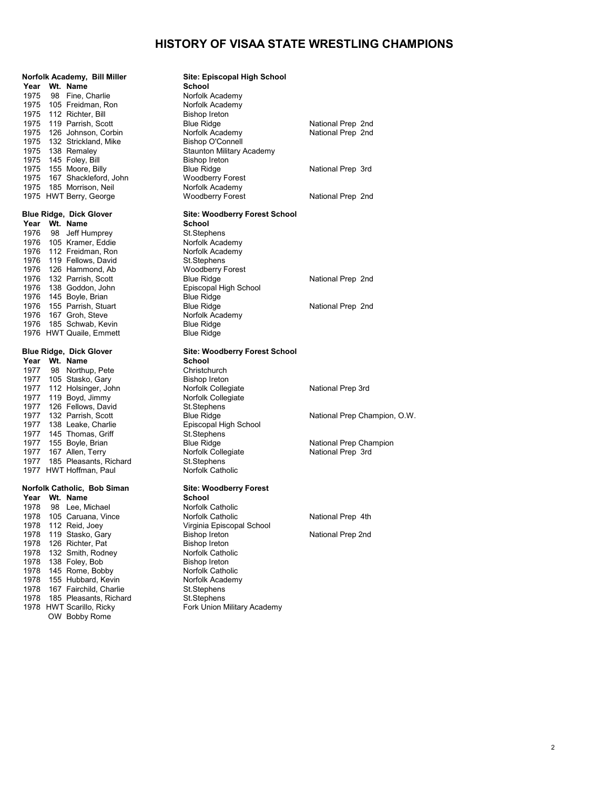| Norfolk Academy, Bill Miller                          | Site: Episcopal High School                       |                              |
|-------------------------------------------------------|---------------------------------------------------|------------------------------|
| Year Wt. Name                                         | School                                            |                              |
| 1975 98 Fine, Charlie                                 | Norfolk Academy                                   |                              |
| 1975 105 Freidman, Ron                                | Norfolk Academy                                   |                              |
| 1975 112 Richter, Bill                                | Bishop Ireton                                     |                              |
| 1975 119 Parrish, Scott                               | <b>Blue Ridge</b>                                 | National Prep 2nd            |
| 1975 126 Johnson, Corbin                              | Norfolk Academy                                   | National Prep 2nd            |
| 1975 132 Strickland, Mike                             | Bishop O'Connell                                  |                              |
| 1975 138 Remaley                                      | <b>Staunton Military Academy</b>                  |                              |
| 1975 145 Foley, Bill                                  | <b>Bishop Ireton</b>                              |                              |
| 1975 155 Moore, Billy                                 | <b>Blue Ridge</b>                                 | National Prep 3rd            |
| 1975 167 Shackleford, John                            | <b>Woodberry Forest</b>                           |                              |
| 1975 185 Morrison, Neil                               | Norfolk Academy                                   |                              |
| 1975 HWT Berry, George                                | <b>Woodberry Forest</b>                           | National Prep 2nd            |
| <b>Blue Ridge, Dick Glover</b>                        | <b>Site: Woodberry Forest School</b>              |                              |
| Year Wt. Name                                         | School                                            |                              |
| 1976 98 Jeff Humprey                                  | St.Stephens                                       |                              |
| 1976 105 Kramer, Eddie                                | Norfolk Academy                                   |                              |
| 1976 112 Freidman, Ron                                | Norfolk Academy                                   |                              |
| 1976 119 Fellows, David                               | St.Stephens                                       |                              |
| 1976 126 Hammond, Ab                                  | <b>Woodberry Forest</b>                           |                              |
| 1976 132 Parrish, Scott                               | <b>Blue Ridge</b>                                 | National Prep 2nd            |
| 1976 138 Goddon, John                                 | Episcopal High School                             |                              |
| 1976 145 Boyle, Brian                                 | <b>Blue Ridge</b>                                 |                              |
| 1976 155 Parrish, Stuart                              | <b>Blue Ridge</b>                                 | National Prep 2nd            |
| 1976 167 Groh, Steve                                  | Norfolk Academy                                   |                              |
| 1976 185 Schwab, Kevin                                | <b>Blue Ridge</b>                                 |                              |
| 1976 HWT Quaile, Emmett                               | <b>Blue Ridge</b>                                 |                              |
| <b>Blue Ridge, Dick Glover</b>                        | Site: Woodberry Forest School                     |                              |
|                                                       |                                                   |                              |
| Year Wt. Name                                         | School                                            |                              |
| 1977 98 Northup, Pete                                 | Christchurch                                      |                              |
| 1977 105 Stasko, Gary                                 | Bishop Ireton                                     |                              |
| 1977 112 Holsinger, John                              | Norfolk Collegiate                                | National Prep 3rd            |
| 1977 119 Boyd, Jimmy                                  | Norfolk Collegiate                                |                              |
| 1977 126 Fellows, David                               | St.Stephens                                       |                              |
| 1977 132 Parrish, Scott                               | <b>Blue Ridge</b>                                 | National Prep Champion, O.W. |
| 1977 138 Leake, Charlie                               | Episcopal High School                             |                              |
| 1977 145 Thomas, Griff                                | St.Stephens                                       |                              |
| 1977 155 Boyle, Brian                                 | <b>Blue Ridge</b>                                 | National Prep Champion       |
| 1977 167 Allen, Terry                                 | Norfolk Collegiate                                | National Prep 3rd            |
| 1977 185 Pleasants, Richard<br>1977 HWT Hoffman, Paul | St.Stephens<br>Norfolk Catholic                   |                              |
| Norfolk Catholic, Bob Siman                           | <b>Site: Woodberry Forest</b>                     |                              |
| Year Wt. Name                                         | School                                            |                              |
| 1978                                                  | Norfolk Catholic                                  |                              |
| 98 Lee, Michael                                       | Norfolk Catholic                                  |                              |
| 1978 105 Caruana, Vince                               |                                                   | National Prep 4th            |
| 1978<br>112 Reid, Joey<br>1978                        | Virginia Episcopal School<br><b>Bishop Ireton</b> |                              |
| 119 Stasko, Gary<br>1978<br>126 Richter, Pat          | <b>Bishop Ireton</b>                              | National Prep 2nd            |
| 1978<br>132 Smith, Rodney                             | Norfolk Catholic                                  |                              |
| 1978<br>138 Foley, Bob                                | <b>Bishop Ireton</b>                              |                              |
| 1978<br>145 Rome, Bobby                               | Norfolk Catholic                                  |                              |
| 1978<br>155 Hubbard, Kevin                            | Norfolk Academy                                   |                              |
| 1978<br>167 Fairchild, Charlie                        | St.Stephens                                       |                              |
| 1978 185 Pleasants, Richard                           | St.Stephens                                       |                              |
| 1978 HWT Scarillo, Ricky                              | Fork Union Military Academy                       |                              |
| OW Bobby Rome                                         |                                                   |                              |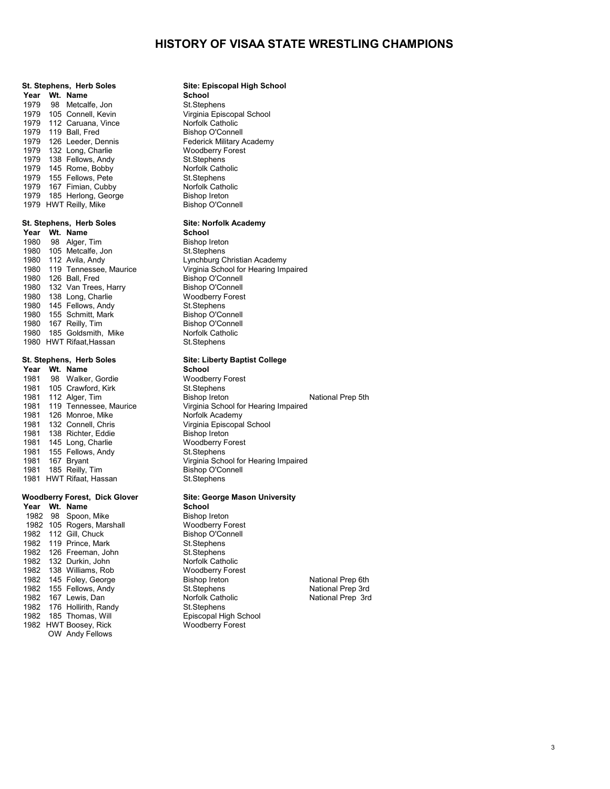## **St. Stephens, Herb Soles Site: Episcopal High School Year Wt. Name School**<br>1979 98 Metcalfe Jon **St. Stephens** 1979 98 Metcalfe, Jon St.Stephens<br>1979 105 Connell. Kevin St. Strainia Episcopal School 1979 105 Connell, Kevin Virginia Episcopal Virginia Episcopal School Virginia Episcopal School Christ Norfolk Catholic 1979 112 Caruana, Vince **Norfolk Catholic**<br>1979 119 Ball Fred **Norton** Bishop O'Connell 1979 119 Ball, Fred Bishop O'Connell<br>1979 126 Leeder, Dennis Ball, Federick Military Academy 1979 126 Leeder, Dennis Federick Military Academy Federick Military Academy Forest 1979 132 Long, Charlie Woodberry Forest<br>1979 138 Fellows Andy St Stephens 1979 138 Fellows, Andy St.Stephens<br>1979 145 Rome. Bobby Norfolk Catholic 1979 145 Rome, Bobby **Norfolk Catholic Catholic Catholic Catholic Catholic Catholic Catholic Catholic Catholic C**<br>1979 155 Fellows Pete **North Catholic Catholic Catholic Catholic Catholic Catholic Catholic Catholic Catholi** 1979 155 Fellows, Pete St.Stephens<br>1979 167 Fimian, Cubby Norfolk Catholic 1979 167 Fimian, Cubby **Norfolk Catholic Catholic Catholic Catholic Catholic Catholic Catholic Catholic Catholic C**<br>1979 185 Herlong George **North Catholic Catholic Catholic Catholic Catholic Catholic Catholic Catholic Cat** 1979 185 Herlong, George **Bishop Ireton**<br>1979 HWT Reilly, Mike **Bishop Or Bishop O'Connell** 1979 HWT Reilly, Mike

# **St. Stephens, Herb Soles Site: Norfolk Academy**

**Year Wt. Name School**<br>1980 98 Alger Tim **Bishop Ireton** 1980 98 Alger, Tim Bishop Ireton<br>1980 105 Metcalfe Jon Bt. St. Stephens 1980 105 Metcalfe, Jon<br>1980 112 Avila, Andy 1980 112 Avila, Andy Lynchburg Christian Academy<br>1980 119 Tennessee Maurice Virginia School for Hearing Imr 1980 126 Ball, Fred Bishop O'Connell<br>1980 132 Van Trees. Harry Bishop O'Connell 1980 132 Van Trees, Harry **Bishop O'Connell**<br>1980 138 Long, Charlie **Bishop O'Connell** 1980 138 Long, Charlie Woodberry Forest<br>1980 145 Fellows Andy St. Stephens 145 Fellows, Andy St.Stephens<br>155 Schmitt, Mark St.Stephens Bishop O'Connell 1980 155 Schmitt, Mark Bishop O'Connell<br>1980 167 Reilly Timer Bishop O'Connell 1980 167 Reilly, Tim **Bishop O'Connell**<br>1980 185 Goldsmith, Mike **Bishop O'Connell** 1980 185 Goldsmith, Mike Norfolk Catholic Research<br>1980 HWT Rifaat, Hassan North St. Stephens 1980 HWT Rifaat, Hassan

# **St. Stephens, Herb Soles Site: Liberty Baptist College**

**Year Wt. Name School**<br>
1981 98 Walker, Gordie **School Woodberry Forest** 1981 Walker, Gordie 1981 Woodberry Forest<br>1981 Crawford, Kirk 1981 St. Stephens 1981 105 Crawford, Kirk St.Stephens<br>1981 112 Alger, Tim Bishop Ireton 1981 126 Monroe, Mike<br>1981 132 Connell Chris 1981 138 Richter, Eddie Bishop Ireton<br>1981 145 Long, Charlie Bishop Ireton Bishop Ireton 1981 145 Long, Charlie Woodberry Forest Charles Woodberry Forest<br>1981 155 Fellows, Andy St. Stephens 1981 155 Fellows, Andy<br>1981 167 Brvant 1981 185 Reilly, Tim Bishop O'Connell<br>1981 HWT Rifaat, Hassan St. Stephens 1981 HWT Rifaat, Hassan

# **Woodberry Forest, Dick Glover Site: George Mason University**

**Year Wt. Name School**<br>1982 98 Spoon Mike **Bishop Ireton** 1982 98 Spoon, Mike Bishop Ireton<br>1982 105 Rogers, Marshall Bishop Boodberry Forest 1982 105 Rogers, Marshall **Mark Woodberry Forest**<br>1982 112 Gill, Chuck **Bishop O'Connell** 1982 112 Gill, Chuck Bishop O'Connell Bishop O'Connell<br>1982 119 Prince, Mark Bt. St. Stephens 1982 119 Prince, Mark St.Stephens<br>1982 126 Freeman, John St.Stephens 1982 126 Freeman, John St.Stephens<br>1982 132 Durkin John St.Stephens Norfolk Catholic 1982 132 Durkin, John Norfolk Catholic<br>1982 138 Williams, Rob Noodberry Forest 1982 138 Williams, Rob 61 Woodberry Forest Woodberry Forest Milliams (November 1982)<br>1982 145 Foley, George 61 Bishop Ireton 1982 145 Foley, George **Bishop Ireton** Bishop Ireton National Prep 6th<br>1982 155 Fellows, Andy St.Stephens St.Stephens National Prep 3rd 1982 155 Fellows, Andy St.Stephens St.Stephens National Prep 3rd<br>1982 167 Lewis Dan Norfolk Catholic National Prep 3rd 1982 167 Lewis, Dan Norfolk Catholic National Prep 3rd Norfolk Catholic National Prep 3rd Norfolk Catholic National Prep 3rd Norfolk Catholic National Prep 3rd Norfolk Catholic National Prep 3rd Norfolk Catholic National P 1982 176 Hollirith, Randy St.Stephens<br>1982 185 Thomas. Will School High School 1982 185 Thomas, Will **Channel Existed Accords** Episcopal High School 1982 HWT Boosey, Rick 1982 HWT Boosey, Rick OW Andy Fellows

Virginia School for Hearing Impaired<br>Bishop O'Connell

1981 112 Alger, Tim **Bishop Ireton**<br>1981 119 Tennessee, Maurice Virginia School for Hearing Impaired Virginia School for Hearing Impaired<br>Norfolk Academy 1981 132 Connell<br>1991 132 Connell, Christopal School<br>1991 1991 1992 Ireton Virginia School for Hearing Impaired<br>Bishop O'Connell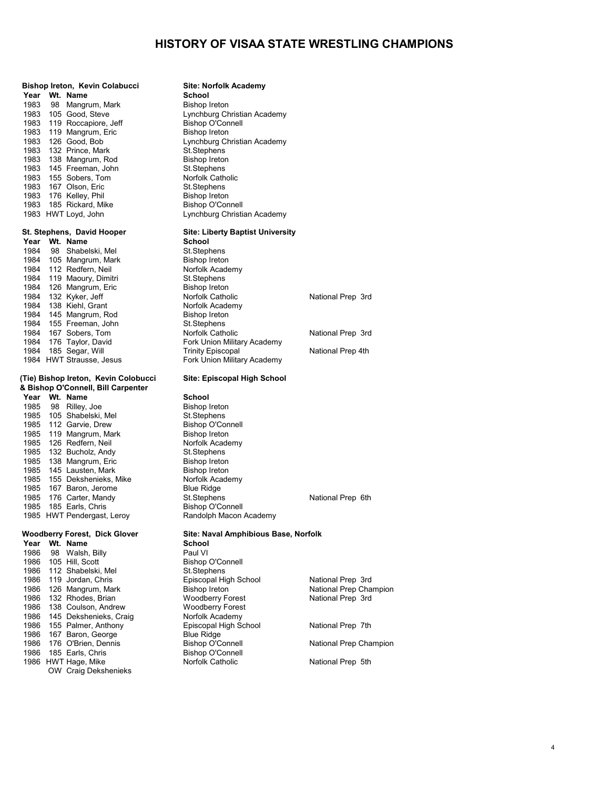|              |    | Bishop Ireton, Kevin Colabucci                       | Site: Norfolk Academy                       |      |
|--------------|----|------------------------------------------------------|---------------------------------------------|------|
|              |    | Year Wt. Name                                        | School                                      |      |
| 1983         |    | 98 Mangrum, Mark                                     | <b>Bishop Ireton</b>                        |      |
|              |    | 1983 105 Good, Steve                                 | Lynchburg Christian Academy                 |      |
|              |    | 1983 119 Roccapiore, Jeff                            | <b>Bishop O'Connell</b>                     |      |
|              |    | 1983 119 Mangrum, Eric                               | <b>Bishop Ireton</b>                        |      |
|              |    | 1983 126 Good, Bob                                   | Lynchburg Christian Academy                 |      |
|              |    | 1983 132 Prince, Mark                                | St.Stephens                                 |      |
|              |    | 1983 138 Mangrum, Rod                                | <b>Bishop Ireton</b>                        |      |
|              |    | 1983 145 Freeman, John                               | St.Stephens                                 |      |
|              |    | 1983 155 Sobers, Tom                                 | Norfolk Catholic                            |      |
|              |    | 1983 167 Olson, Eric                                 | St.Stephens                                 |      |
|              |    | 1983 176 Kelley, Phil                                | <b>Bishop Ireton</b>                        |      |
|              |    | 1983 185 Rickard, Mike                               | <b>Bishop O'Connell</b>                     |      |
|              |    | 1983 HWT Loyd, John                                  | Lynchburg Christian Academy                 |      |
|              |    | St. Stephens, David Hooper                           | <b>Site: Liberty Baptist University</b>     |      |
| Year         |    | Wt. Name                                             | <b>School</b>                               |      |
| 1984         |    | 98 Shabelski, Mel                                    | St.Stephens                                 |      |
|              |    | 1984 105 Mangrum, Mark                               | <b>Bishop Ireton</b>                        |      |
|              |    | 1984 112 Redfern, Neil                               | Norfolk Academy                             |      |
|              |    | 1984 119 Maoury, Dimitri                             | St.Stephens                                 |      |
|              |    | 1984 126 Mangrum, Eric                               | <b>Bishop Ireton</b>                        |      |
|              |    | 1984 132 Kyker, Jeff                                 | Norfolk Catholic                            | Nati |
|              |    | 1984 138 Kiehl, Grant                                | Norfolk Academy                             |      |
|              |    | 1984 145 Mangrum, Rod                                | <b>Bishop Ireton</b>                        |      |
|              |    | 1984 155 Freeman, John                               | St.Stephens                                 |      |
|              |    | 1984 167 Sobers, Tom                                 | Norfolk Catholic                            | Nati |
|              |    | 1984 176 Taylor, David                               | Fork Union Military Academy                 |      |
|              |    | 1984 185 Segar, Will                                 | <b>Trinity Episcopal</b>                    | Nati |
|              |    | 1984 HWT Strausse, Jesus                             | Fork Union Military Academy                 |      |
|              |    | (Tie) Bishop Ireton, Kevin Colobucci                 | Site: Episcopal High School                 |      |
|              |    | & Bishop O'Connell, Bill Carpenter                   |                                             |      |
|              |    | Year Wt. Name                                        | School                                      |      |
|              |    | 1985 98 Rilley, Joe                                  | <b>Bishop Ireton</b>                        |      |
|              |    | 1985 105 Shabelski, Mel                              | St.Stephens                                 |      |
|              |    | 1985 112 Garvie, Drew                                | <b>Bishop O'Connell</b>                     |      |
|              |    | 1985 119 Mangrum, Mark                               | <b>Bishop Ireton</b>                        |      |
| 1985         |    | 126 Redfern, Neil                                    | Norfolk Academy                             |      |
|              |    | 1985 132 Bucholz, Andy                               | St.Stephens                                 |      |
|              |    | 1985 138 Mangrum, Eric                               | <b>Bishop Ireton</b>                        |      |
|              |    | 1985 145 Lausten, Mark                               | <b>Bishop Ireton</b>                        |      |
|              |    | 1985 155 Dekshenieks, Mike                           | Norfolk Academy                             |      |
|              |    | 1985 167 Baron, Jerome                               | <b>Blue Ridge</b>                           |      |
|              |    | 1985 176 Carter, Mandy                               | St.Stephens                                 | Nati |
|              |    | 1985 185 Earls, Chris                                | <b>Bishop O'Connell</b>                     |      |
|              |    | 1985 HWT Pendergast, Leroy                           | Randolph Macon Academy                      |      |
|              |    | <b>Woodberry Forest, Dick Glover</b>                 | Site: Naval Amphibious Base, Norfolk        |      |
| Year         |    | Wt. Name                                             | School                                      |      |
| 1986         | 98 | Walsh, Billy                                         | Paul VI                                     |      |
| 1986         |    | 105 Hill, Scott                                      | <b>Bishop O'Connell</b>                     |      |
| 1986         |    | 112 Shabelski, Mel                                   | St.Stephens                                 |      |
| 1986         |    | 119 Jordan, Chris                                    | Episcopal High School                       | Nati |
| 1986         |    | 126 Mangrum, Mark                                    | <b>Bishop Ireton</b>                        | Nati |
| 1986<br>1000 |    | 132 Rhodes, Brian<br>$400 \, \text{O}$ $\frac{1}{2}$ | <b>Woodberry Forest</b><br>Macdhesmi Fescat | Nati |

OW Craig Dekshenieks

|      | Year Wt. Name            | <b>School</b>               |                   |
|------|--------------------------|-----------------------------|-------------------|
|      | 1984 98 Shabelski, Mel   | St.Stephens                 |                   |
|      | 1984 105 Mangrum, Mark   | Bishop Ireton               |                   |
|      | 1984 112 Redfern, Neil   | Norfolk Academy             |                   |
|      | 1984 119 Maoury, Dimitri | St.Stephens                 |                   |
| 1984 | 126 Mangrum, Eric        | Bishop Ireton               |                   |
|      | 1984 132 Kyker, Jeff     | Norfolk Catholic            | National Prep 3rd |
|      | 1984 138 Kiehl, Grant    | Norfolk Academy             |                   |
| 1984 | 145 Mangrum, Rod         | Bishop Ireton               |                   |
|      | 1984 155 Freeman, John   | St.Stephens                 |                   |
|      | 1984 167 Sobers, Tom     | Norfolk Catholic            | National Prep 3rd |
|      | 1984 176 Taylor, David   | Fork Union Military Academy |                   |
| 1984 | 185 Segar, Will          | <b>Trinity Episcopal</b>    | National Prep 4th |
|      | 1984 HWT Strausse, Jesus | Fork Union Military Academy |                   |

**School** Paul VI Bishop O'Connell St.Stephens 1986 119 Jordan, Chris Episcopal High School National Prep 3rd 1986 Woodberry Forest National Prep 3rd<br>Woodberry Forest 1986 138 Coulson, Andrew **Woodberry Forest**<br>1986 145 Dekshenieks, Craig **Morfolk Academy** 1986 145 Dekshenieks, Craig Norfolk Academy<br>1986 155 Palmer, Anthony Chines Episcopal High School 1986 155 Palmer, Anthony **Episcopal High School Communist Prep 7th** National Prep 7th<br>1986 167 Baron, George **National Blue Ridge** 1986 167 Baron, George Blue Ridge Blue Ridge 1986 176 O'Brien, Dennis 1986 176 O'Brien, Dennis Bishop O'Connell National Prep Champion<br>1986 185 Earls, Chris Bishop O'Connell 1986 185 Earls, Chris Bishop O'Connell 1986 HWT Hage, Mike **Norfolk Catholic** Norfolk Catholic National Prep 5th

اء العربية العربية العربية National Prep Champion<br>Moodberry Forest National Prep 3rd

National Prep 6th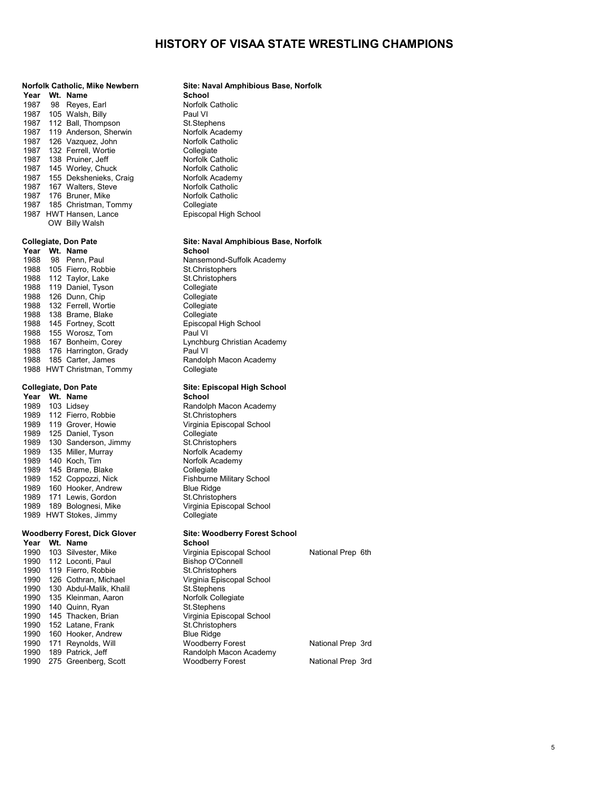| Year | Wt. | Name                     |
|------|-----|--------------------------|
| 1987 |     | 98 Reyes, Earl           |
| 1987 |     | 105 Walsh, Billy         |
| 1987 | 112 | Ball, Thompson           |
| 1987 | 119 | Anderson, Sherwin        |
| 1987 |     | 126 Vazquez, John        |
| 1987 |     | 132 Ferrell, Wortie      |
| 1987 |     | 138 Pruiner, Jeff        |
| 1987 |     | 145 Worley, Chuck        |
| 1987 |     | 155 Dekshenieks, Craig   |
| 1987 |     | 167 Walters, Steve       |
| 1987 |     | 176 Bruner, Mike         |
| 1987 |     | 185 Christman, Tommy     |
| 1987 |     | <b>HWT Hansen, Lance</b> |
|      |     | OW Billy Walsh           |
|      |     |                          |

| Year | Wt. | Name                  |
|------|-----|-----------------------|
| 1988 | 98  | Penn. Paul            |
| 1988 | 105 | Fierro, Robbie        |
| 1988 | 112 | Taylor, Lake          |
| 1988 | 119 | Daniel, Tyson         |
| 1988 | 126 | Dunn, Chip            |
| 1988 | 132 | Ferrell, Wortie       |
| 1988 | 138 | Brame, Blake          |
| 1988 |     | 145 Fortney, Scott    |
| 1988 |     | 155 Worosz, Tom       |
| 1988 | 167 | Bonheim, Corey        |
| 1988 |     | 176 Harrington, Grady |
| 1988 |     | 185 Carter, James     |
| 1988 |     | HWT Christman, Tomm   |

| Year | Wt. | <b>Name</b>              |
|------|-----|--------------------------|
| 1989 |     | 103 Lidsey               |
| 1989 |     | 112 Fierro, Robbie       |
| 1989 | 119 | Grover, Howie            |
| 1989 | 125 | Daniel, Tyson            |
| 1989 |     | 130 Sanderson, Jimm      |
| 1989 |     | 135 Miller, Murray       |
| 1989 |     | 140 Koch, Tim            |
| 1989 | 145 | Brame, Blake             |
| 1989 | 152 | Coppozzi, Nick           |
| 1989 |     | 160 Hooker, Andrew       |
| 1989 |     | 171 Lewis, Gordon        |
| 1989 |     | 189 Bolognesi, Mike      |
| 1989 |     | <b>HWT Stokes, Jimmv</b> |

# **Year Wt. Name**

| 1990 | 103 Silvester, Mike     | Virginia Episcopal School |
|------|-------------------------|---------------------------|
| 1990 | 112 Loconti, Paul       | <b>Bishop O'Connell</b>   |
| 1990 | 119 Fierro, Robbie      | St.Christophers           |
| 1990 | 126 Cothran, Michael    | Virginia Episcopal School |
| 1990 | 130 Abdul-Malik, Khalil | St.Stephens               |
| 1990 | 135 Kleinman, Aaron     | Norfolk Collegiate        |
| 1990 | 140 Quinn, Ryan         | St.Stephens               |
| 1990 | 145 Thacken, Brian      | Virginia Episcopal School |
| 1990 | 152 Latane, Frank       | St.Christophers           |
| 1990 | 160 Hooker, Andrew      | <b>Blue Ridge</b>         |
| 1990 | 171 Reynolds, Will      | <b>Woodberry Forest</b>   |
| 1990 | 189 Patrick, Jeff       | Randolph Macon Academy    |
| 1990 | 275 Greenberg, Scott    | <b>Woodberry Forest</b>   |

## **Norfolk Catholic, Mike Newbern Site: Naval Amphibious Base, Norfolk**  $School$ Norfolk Catholic Paul VI St.Stephens Norfolk Academy Norfolk Catholic **Collegiate** 1987 - Norfolk Catholic Norfolk Catholic Norfolk Academy Norfolk Catholic Norfolk Catholic Collegiate Episcopal High School  **Collegiate, Don Pate Site: Naval Amphibious Base, Norfolk**  $School$ Nansemond-Suffolk Academy St.Christophers St.Christophers Collegiate<sup>'</sup> Collegiate Collegiate Collegiate Episcopal High School Paul VI Lynchburg Christian Academy Paul VI Randolph Macon Academy y Collegiate  **Collegiate, Don Pate Site: Episcopal High School**  $School$ Randolph Macon Academy St.Christophers Virginia Episcopal School Collegiate 19 St.Christophers Norfolk Academy Norfolk Academy 1989 145<br>Collegiate Fishburne Military School Blue Ridge St.Christophers Virginia Episcopal School<br>Collegiate

# **Woodberry Forest, Dick Glover Site: Woodberry Forest School**<br>Year Wt. Name **School**

|      | 1990 103 Silvester, Mike | Virginia Episcopal School | National Prep 6th |
|------|--------------------------|---------------------------|-------------------|
|      | 1990 112 Loconti, Paul   | <b>Bishop O'Connell</b>   |                   |
| 1990 | 119 Fierro, Robbie       | St. Christophers          |                   |
| 1990 | 126 Cothran, Michael     | Virginia Episcopal School |                   |
| 1990 | 130 Abdul-Malik, Khalil  | St.Stephens               |                   |
| 1990 | 135 Kleinman, Aaron      | Norfolk Collegiate        |                   |
| 1990 | 140 Quinn, Ryan          | St.Stephens               |                   |
|      | 1990 145 Thacken, Brian  | Virginia Episcopal School |                   |
| 1990 | 152 Latane, Frank        | St. Christophers          |                   |
| 1990 | 160 Hooker, Andrew       | <b>Blue Ridge</b>         |                   |
| 1990 | 171 Reynolds, Will       | <b>Woodberry Forest</b>   | National Prep 3rd |
| 1990 | 189 Patrick, Jeff        | Randolph Macon Academy    |                   |
| 1990 | 275 Greenberg, Scott     | <b>Woodberry Forest</b>   | National Prep 3rd |
|      |                          |                           |                   |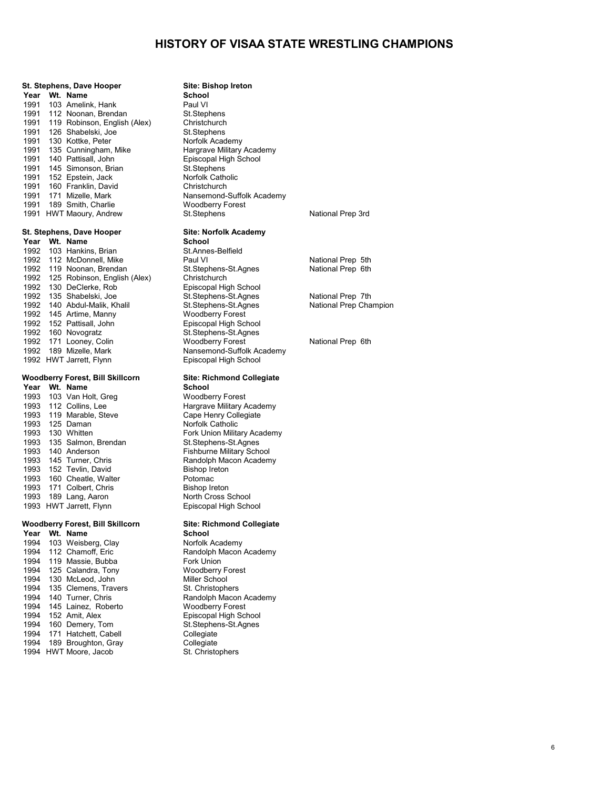## **St. Stephens, Dave Hooper Site: Bishop Ireton Year Wt. Name School**<br>
1991 103 Amelink, Hank **Paul VI** 1991 103 Amelink, Hank **Paul VI** Paul VI<br>1991 112 Noonan Brendan **Brand Statists** St. Stephens 1991 112 Noonan, Brendan St.Stephens<br>1991 119 Robinson, English (Alex) Christchurch 1991 119 Robinson, English (Alex) Christchurch<br>1991 126 Shabelski Joe St Stephens 1991 126 Shabelski, Joe St.Stephens<br>1991 130 Kottke, Peter St. Stephens 1991 130 Kottke, Peter **Norfolk Academy**<br>1991 135 Cunningham, Mike **Nargrave Military Academy** 1991 135 Cunningham, Mike Hargrave Military Acad<br>1991 140 Pattisall, John Harger High School 1991 140 Pattisall, John **Episcopal High School High School High School High School High School School School**<br>1991 145 Simonson Brian St. Stephens 145 Simonson, Brian St.Stephens<br>152 Epstein Jack Stephens Norfolk Catholic 1991 152 Epstein, Jack Norfolk Catholic Catholic Catholic Catholic Catholic Christ<br>1991 160 Franklin, David Christchurch 1991 160 Franklin, David<br>1991 171 Mizelle Mark 1991 189 Smith, Charlie Woodberry Forest Charlie<br>1991 HWT Maoury, Andrew St. Stephens 1991 HWT Maoury, Andrew St.Stephens St.Stephens National Prep 3rd

**Year Wt. Name School**<br>
1992 103 Hankins Brian **St.Annes-Belfield** 1992 103 Hankins, Brian St.Annes-Belfield 1992 112 McDonnell, Mike **Paul VI Paul VI National Prep 5th**<br>1992 119 Noonan Brendan St. Stephens-St. Agnes National Prep 6th 1992 119 Noonan, Brendan St.Stephens-<br>1992 125 Robinson, English (Alex) Christchurch 1992 125 Robinson, English (Alex) Christchurch<br>1992 125 Robinson, English (Alex) Christchurch Christ 1992 130 DeClerke, Rob Contact Episcopal High School<br>1992 135 Shabelski, Joe Contact St. Stephens-St. Agnes 1992 135 Shabelski, Joe St.Stephens-St.Agnes National Prep 7th<br>1992 140 Abdul-Malik. Khalil St.Stephens-St.Agnes National Prep Champion 1992 140 Abdul-Malik, Khalil St.Stephens-St.Agnes 145 Artime, Manny 1992 145 Artime, Manny Woodberry Forest 1992 152 Pattisall, John Episcopal High School 1992 160 Novogratz St.Stephens-St.Agnes 1992 171 Looney, Colin Woodberry Forest National Prep 6th<br>1992 189 Mizelle. Mark Nansemond-Suffolk Academy 1992 HWT Jarrett, Flynn

**Year Wt. Name School**<br>
1993 103 Van Holt, Greg **Woodberry Forest** 1993 103 Van Holt, Greg<br>1993 112 Collins. Lee 1993 119 Marable, Steve Cape Henry Collegiate Cape Henry Collegiate Collegiate Collegiate Collegiate Collegia<br>1993 125 Daman 1993 125 Daman Norfolk Catholic 1993 135 Salmon, Brendan<br>1993 140 Anderson 1993 145 Turner, Chris **1993 145 Turner, Chris** Randolph Macon Academy Render Academy Render Academy Render Academy<br>
1993 152 Tevlin, David 1993 152 Tevlin, David Bishop Ireton Bishop Ireton Bishop Ireton Bishop Ireton Bishop Ireton Bishop Ireton Bishop Ireton Bishop Ireton Bishop Ireton Bishop Ireton Bishop Ireton Bishop Ireton Bishop Ireton Bishop Ireton Bis 160 Cheatle, Walter **Potomac**<br>171 Colbert Chris **Rights** Bishop Ireton 1993 171 Colbert, Chris **1993 1898 Eishop Ireton**<br>1993 189 Lang, Aaron **Brown Brook** North Cross School 1993 189 Lang, Aaron North Cross School<br>1993 HWT Jarrett, Flynn North Cross School 1993 HWT Jarrett, Flynn

# **Woodberry Forest, Bill Skillcorn Site: Richmond Collegiate**

**Year Wt. Name School**<br>
1994 103 Weisberg, Clay **Canada Review Reademy** 1994 103 Weisberg, Clay<br>1994 112 Chamoff, Eric 1994 119 Massie, Bubba Fork Union<br>1994 125 Calandra, Tony Forest Entry Coodberry Forest 1994 125 Calandra, Tony Woodberry Forest 1994 130 McLeod, John Miller School<br>1994 135 Clemens. Travers St. Christophers 1994 135 Clemens, Travers<br>1994 140 Turner, Chris 1994 145 Lainez, Roberto  $1994$  152 Amit. Alex 1994 160 Demery, Tom St.Stephen<br>1994 171 Hatchett, Cabell Collegiate 1994 171 Hatchett, Cabell **Collegiate**<br>1994 189 Broughton, Gray **Collegiate** 1994 189 Broughton, Gray Collegiate<br>1994 HWT Moore, Jacob St. Christophers 1994 HWT Moore, Jacob

Nansemond-Suffolk Academy<br>Woodberry Forest

# **St. Stephens, Dave Hooper Site: Norfolk Academy**<br> **School**<br> **School**

Nansemond-Suffolk Academy<br>Episcopal High School

# **Woodberry Forest, Bill Skillcorn Site: Richmond Collegiate**

Hargrave Military Academy<br>Cape Henry Collegiate Fork Union Military Academy<br>St.Stephens-St.Agnes Fishburne Military School<br>Randolph Macon Academy

Randolph Macon Academy<br>Fork Union Randolph Macon Academy<br>Woodberry Forest Episcopal High School<br>St. Stephens - St. Agnes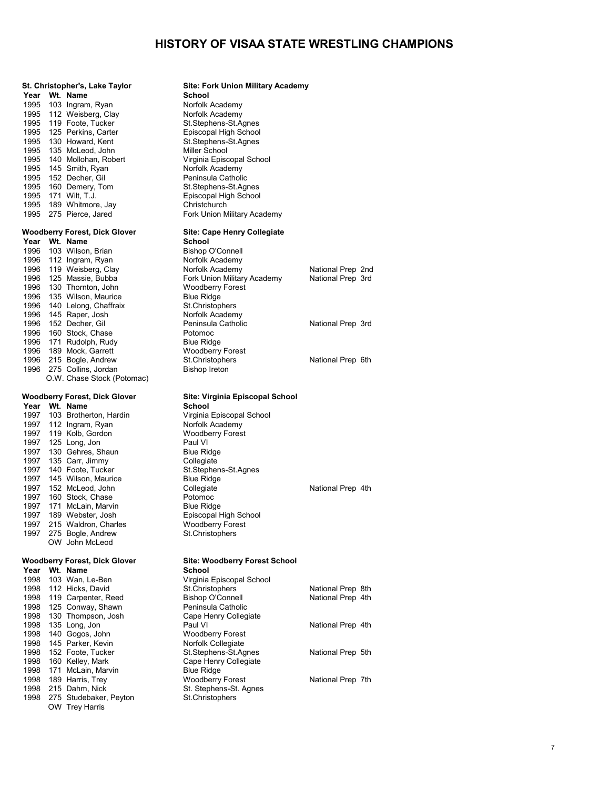| St. Christopher's, Lake Taylor                        | <b>Site: Fork Union Military Academy</b>  |                   |  |
|-------------------------------------------------------|-------------------------------------------|-------------------|--|
| Wt. Name<br>Year                                      | School                                    |                   |  |
| 1995<br>103 Ingram, Ryan                              | Norfolk Academy                           |                   |  |
| 1995<br>112 Weisberg, Clay                            | Norfolk Academy                           |                   |  |
| 1995<br>119 Foote, Tucker                             | St.Stephens-St.Agnes                      |                   |  |
| 1995<br>125 Perkins, Carter                           | Episcopal High School                     |                   |  |
| 1995<br>130 Howard, Kent                              | St.Stephens-St.Agnes                      |                   |  |
| 1995<br>135 McLeod, John                              | Miller School                             |                   |  |
| 1995<br>140 Mollohan, Robert                          | Virginia Episcopal School                 |                   |  |
| 1995<br>145 Smith, Ryan                               | Norfolk Academy                           |                   |  |
| 1995<br>152 Decher, Gil                               | Peninsula Catholic                        |                   |  |
| 1995<br>160 Demery, Tom                               | St.Stephens-St.Agnes                      |                   |  |
| 1995<br>171 Wilt, T.J.                                | Episcopal High School                     |                   |  |
| 1995<br>189 Whitmore, Jay                             | Christchurch                              |                   |  |
| 1995 275 Pierce, Jared                                | Fork Union Military Academy               |                   |  |
| <b>Woodberry Forest, Dick Glover</b>                  | Site: Cape Henry Collegiate               |                   |  |
| Year Wt. Name                                         | School                                    |                   |  |
| 103 Wilson, Brian<br>1996                             | <b>Bishop O'Connell</b>                   |                   |  |
| 1996 112 Ingram, Ryan                                 | Norfolk Academy                           |                   |  |
| 119 Weisberg, Clay<br>1996                            | Norfolk Academy                           | National Prep 2nd |  |
| 1996<br>125 Massie, Bubba                             | Fork Union Military Academy               | National Prep 3rd |  |
| 1996<br>130 Thornton, John                            | <b>Woodberry Forest</b>                   |                   |  |
| 1996<br>135 Wilson, Maurice                           | <b>Blue Ridge</b>                         |                   |  |
| 140 Lelong, Chaffraix<br>1996                         | St.Christophers                           |                   |  |
| 1996<br>145 Raper, Josh                               | Norfolk Academy                           |                   |  |
| 152 Decher, Gil<br>1996                               | Peninsula Catholic                        | National Prep 3rd |  |
| 1996<br>160 Stock, Chase                              | Potomoc                                   |                   |  |
| 1996<br>171 Rudolph, Rudy                             | <b>Blue Ridge</b>                         |                   |  |
| 1996<br>189 Mock, Garrett                             | <b>Woodberry Forest</b>                   |                   |  |
| 1996<br>215 Bogle, Andrew                             | St.Christophers                           | National Prep 6th |  |
| 1996<br>275 Collins, Jordan                           | <b>Bishop Ireton</b>                      |                   |  |
| O.W. Chase Stock (Potomac)                            |                                           |                   |  |
|                                                       |                                           |                   |  |
| <b>Woodberry Forest, Dick Glover</b><br>Year Wt. Name | Site: Virginia Episcopal School<br>School |                   |  |
| 1997<br>103 Brotherton, Hardin                        | Virginia Episcopal School                 |                   |  |
| 1997 112 Ingram, Ryan                                 | Norfolk Academy                           |                   |  |
| 119 Kolb, Gordon<br>1997                              | <b>Woodberry Forest</b>                   |                   |  |
| 1997<br>125 Long, Jon                                 | Paul VI                                   |                   |  |
| 1997<br>130 Gehres, Shaun                             | <b>Blue Ridge</b>                         |                   |  |
| 1997<br>135 Carr, Jimmy                               | Collegiate                                |                   |  |
| 1997<br>140 Foote, Tucker                             | St.Stephens-St.Agnes                      |                   |  |
| 1997<br>145 Wilson, Maurice                           | <b>Blue Ridge</b>                         |                   |  |
| 1997<br>152 McLeod, John                              | Collegiate                                | National Prep 4th |  |
| 1997<br>160 Stock, Chase                              | Potomoc                                   |                   |  |
| 1997<br>171 McLain, Marvin                            | <b>Blue Ridge</b>                         |                   |  |
| 1997<br>189 Webster, Josh                             | Episcopal High School                     |                   |  |
| 1997<br>215 Waldron, Charles                          | Woodberry Forest                          |                   |  |
| 1997 275 Bogle, Andrew                                | St.Christophers                           |                   |  |
| OW John McLeod                                        |                                           |                   |  |
| <b>Woodberry Forest, Dick Glover</b>                  | <b>Site: Woodberry Forest School</b>      |                   |  |
| Wt. Name<br>Year                                      | School                                    |                   |  |
| 1998<br>103 Wan, Le-Ben                               | Virginia Episcopal School                 |                   |  |
| 1998<br>112 Hicks, David                              | St.Christophers                           | National Prep 8th |  |
| 1998<br>119 Carpenter, Reed                           | <b>Bishop O'Connell</b>                   | National Prep 4th |  |
| 1998<br>125 Conway, Shawn                             | Peninsula Catholic                        |                   |  |
| 1998<br>130 Thompson, Josh                            | Cape Henry Collegiate                     |                   |  |
| 1998<br>135 Long, Jon                                 | Paul VI                                   | National Prep 4th |  |
| 1998<br>140 Gogos, John                               | <b>Woodberry Forest</b>                   |                   |  |
| 1998<br>145 Parker, Kevin                             | Norfolk Collegiate                        |                   |  |
| 1998<br>152 Foote, Tucker                             | St.Stephens-St.Agnes                      | National Prep 5th |  |
| 1998<br>160 Kelley, Mark                              | Cape Henry Collegiate                     |                   |  |
| 171 McLain, Marvin<br>1998                            | <b>Blue Ridge</b>                         |                   |  |
| 1998<br>189 Harris, Trey                              | <b>Woodberry Forest</b>                   | National Prep 7th |  |
| 1998<br>215 Dahm, Nick                                | St. Stephens-St. Agnes                    |                   |  |
| 1998<br>275 Studebaker, Peyton                        | St.Christophers                           |                   |  |
| OW Trey Harris                                        |                                           |                   |  |

| -St.Agnes<br>igh School<br>-St.Agnes |                   |  |
|--------------------------------------|-------------------|--|
| I<br>copal School<br>demy            |                   |  |
| atholic                              |                   |  |
| -St.Agnes                            |                   |  |
| igh School                           |                   |  |
| Military Academy                     |                   |  |
| <b>Henry Collegiate</b>              |                   |  |
| nnell                                |                   |  |
| demy                                 |                   |  |
| demy                                 | National Prep 2nd |  |
| Military Academy                     | National Prep 3rd |  |
| Forest                               |                   |  |
|                                      |                   |  |
| ers<br>demy                          |                   |  |
| atholic                              | National Prep 3rd |  |
|                                      |                   |  |
|                                      |                   |  |
| Forest                               |                   |  |
| ers                                  | National Prep 6th |  |
| n                                    |                   |  |
| ia Episcopal School                  |                   |  |
|                                      |                   |  |
| copal School:<br>demy<br>Forest      |                   |  |
|                                      |                   |  |
| -St.Agnes                            |                   |  |
|                                      | National Prep 4th |  |
|                                      |                   |  |
| igh School                           |                   |  |
| Forest<br>ers                        |                   |  |
|                                      |                   |  |
| berry Forest School                  |                   |  |
|                                      |                   |  |
| copal School:                        |                   |  |
| ers                                  | National Prep 8th |  |
| nnell<br>atholic                     | National Prep 4th |  |
|                                      |                   |  |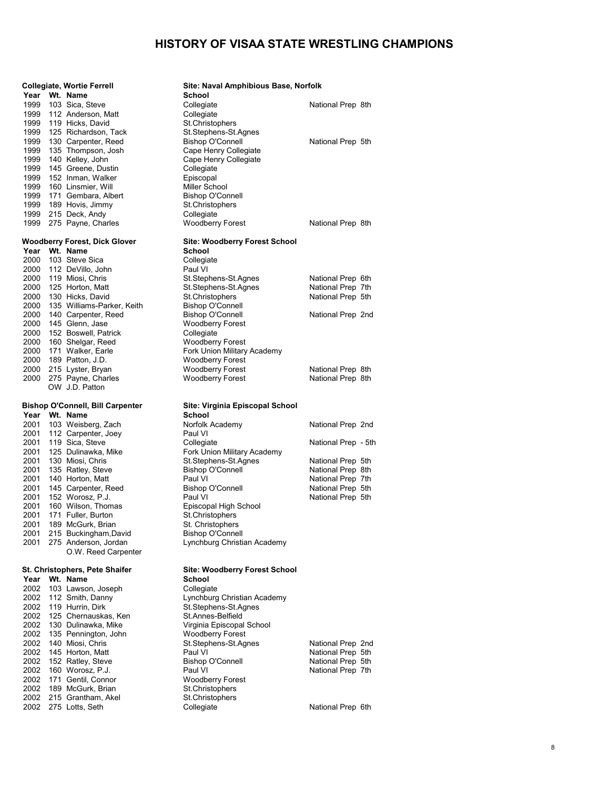|      |              | <b>Collegiate, Wortie Ferrell</b>            | Site: Naval Amphibious Base, Norfolk               |                                        |  |
|------|--------------|----------------------------------------------|----------------------------------------------------|----------------------------------------|--|
|      |              | Year Wt. Name                                | School                                             |                                        |  |
|      | 1999         | 103 Sica, Steve                              | Collegiate                                         | National Prep 8th                      |  |
|      |              | 1999 112 Anderson, Matt                      | Collegiate                                         |                                        |  |
|      | 1999         | 119 Hicks, David                             | St.Christophers                                    |                                        |  |
|      | 1999         | 125 Richardson, Tack                         | St.Stephens-St.Agnes                               |                                        |  |
|      | 1999         | 130 Carpenter, Reed                          | <b>Bishop O'Connell</b>                            | National Prep 5th                      |  |
|      | 1999         | 135 Thompson, Josh                           | Cape Henry Collegiate                              |                                        |  |
|      | 1999         | 140 Kelley, John                             | Cape Henry Collegiate                              |                                        |  |
|      | 1999         | 145 Greene, Dustin                           | Collegiate                                         |                                        |  |
|      | 1999         | 152 Inman, Walker                            | Episcopal                                          |                                        |  |
|      | 1999         | 160 Linsmier, Will                           | Miller School                                      |                                        |  |
|      | 1999         | 171 Gembara, Albert                          | <b>Bishop O'Connell</b>                            |                                        |  |
|      |              | 1999 189 Hovis, Jimmy                        | St.Christophers                                    |                                        |  |
|      |              | 1999 215 Deck, Andy                          | Collegiate                                         |                                        |  |
|      |              | 1999 275 Payne, Charles                      | <b>Woodberry Forest</b>                            | National Prep 8th                      |  |
|      |              | <b>Woodberry Forest, Dick Glover</b>         | <b>Site: Woodberry Forest School</b>               |                                        |  |
|      |              | Year Wt. Name                                | School                                             |                                        |  |
|      | 2000         | 103 Steve Sica                               | Collegiate                                         |                                        |  |
|      |              | 2000 112 DeVillo, John                       | Paul VI                                            |                                        |  |
|      | 2000         | 119 Miosi, Chris                             | St.Stephens-St.Agnes                               | National Prep 6th                      |  |
|      |              | 2000 125 Horton, Matt                        | St.Stephens-St.Agnes                               | National Prep 7th                      |  |
|      | 2000         | 130 Hicks, David                             | St.Christophers                                    | National Prep 5th                      |  |
|      | 2000         | 135 Williams-Parker, Keith                   | <b>Bishop O'Connell</b>                            |                                        |  |
|      | 2000         | 140 Carpenter, Reed                          | <b>Bishop O'Connell</b>                            | National Prep 2nd                      |  |
|      |              | 2000 145 Glenn, Jase                         | <b>Woodberry Forest</b>                            |                                        |  |
|      | 2000         | 152 Boswell, Patrick                         | Collegiate                                         |                                        |  |
|      | 2000         | 160 Shelgar, Reed                            | <b>Woodberry Forest</b>                            |                                        |  |
|      | 2000         | 171 Walker, Earle                            | Fork Union Military Academy                        |                                        |  |
|      |              | 2000 189 Patton, J.D.                        | <b>Woodberry Forest</b>                            |                                        |  |
|      | 2000         | 2000 215 Lyster, Bryan<br>275 Payne, Charles | <b>Woodberry Forest</b><br><b>Woodberry Forest</b> | National Prep 8th<br>National Prep 8th |  |
|      |              | OW J.D. Patton                               |                                                    |                                        |  |
|      |              |                                              |                                                    |                                        |  |
|      |              | Bishop O'Connell, Bill Carpenter             | Site: Virginia Episcopal School                    |                                        |  |
|      |              | Year Wt. Name                                | School                                             |                                        |  |
|      |              | 2001 103 Weisberg, Zach                      | Norfolk Academy                                    | National Prep 2nd                      |  |
|      | 2001         | 112 Carpenter, Joey                          | Paul VI                                            |                                        |  |
|      | 2001         | 119 Sica, Steve                              | Collegiate                                         | National Prep - 5th                    |  |
|      | 2001         | 125 Dulinawka, Mike                          | Fork Union Military Academy                        |                                        |  |
|      | 2001         | 130 Miosi, Chris                             | St.Stephens-St.Agnes                               | National Prep 5th                      |  |
|      | 2001         | 135 Ratley, Steve                            | <b>Bishop O'Connell</b>                            | National Prep 8th                      |  |
|      | 2001         | 140 Horton, Matt                             | Paul VI                                            | National Prep 7th                      |  |
|      | 2001         | 145 Carpenter, Reed                          | Bishop O'Connell                                   | National Prep 5th                      |  |
|      | 2001         | 152 Worosz, P.J.                             | Paul VI                                            | National Prep 5th                      |  |
|      | 2001         | 160 Wilson, Thomas                           | Episcopal High School                              |                                        |  |
| 2001 |              | 171 Fuller, Burton                           | St.Christophers                                    |                                        |  |
|      |              | 2001 189 McGurk, Brian                       | St. Christophers                                   |                                        |  |
|      |              | 2001 215 Buckingham, David                   | <b>Bishop O'Connell</b>                            |                                        |  |
|      | 2001         | 275 Anderson, Jordan<br>O.W. Reed Carpenter  | Lynchburg Christian Academy                        |                                        |  |
|      |              |                                              |                                                    |                                        |  |
|      |              | St. Christophers, Pete Shaifer               | <b>Site: Woodberry Forest School</b>               |                                        |  |
| Year |              | Wt. Name                                     | School                                             |                                        |  |
| 2002 | 2002         | 103 Lawson, Joseph                           | Collegiate                                         |                                        |  |
|      | 2002         | 112 Smith, Danny                             | Lynchburg Christian Academy                        |                                        |  |
|      | 2002         | 119 Hurrin, Dirk<br>125 Chernauskas, Ken     | St.Stephens-St.Agnes<br>St.Annes-Belfield          |                                        |  |
|      | 2002         | 130 Dulinawka, Mike                          | Virginia Episcopal School                          |                                        |  |
|      | 2002         | 135 Pennington, John                         | <b>Woodberry Forest</b>                            |                                        |  |
|      | 2002         | 140 Miosi, Chris                             | St.Stephens-St.Agnes                               | National Prep 2nd                      |  |
|      | 2002         | 145 Horton, Matt                             | Paul VI                                            | National Prep 5th                      |  |
|      | 2002         | 152 Ratley, Steve                            | <b>Bishop O'Connell</b>                            | National Prep 5th                      |  |
|      | 2002         | 160 Worosz, P.J.                             | Paul VI                                            | National Prep 7th                      |  |
|      | 2002         | 171 Gentil, Connor                           | <b>Woodberry Forest</b>                            |                                        |  |
|      | 2002         | 189 McGurk, Brian                            | St.Christophers                                    |                                        |  |
|      | 2002<br>2002 | 215 Grantham, Akel<br>275 Lotts, Seth        | St.Christophers<br>Collegiate                      | National Prep 6th                      |  |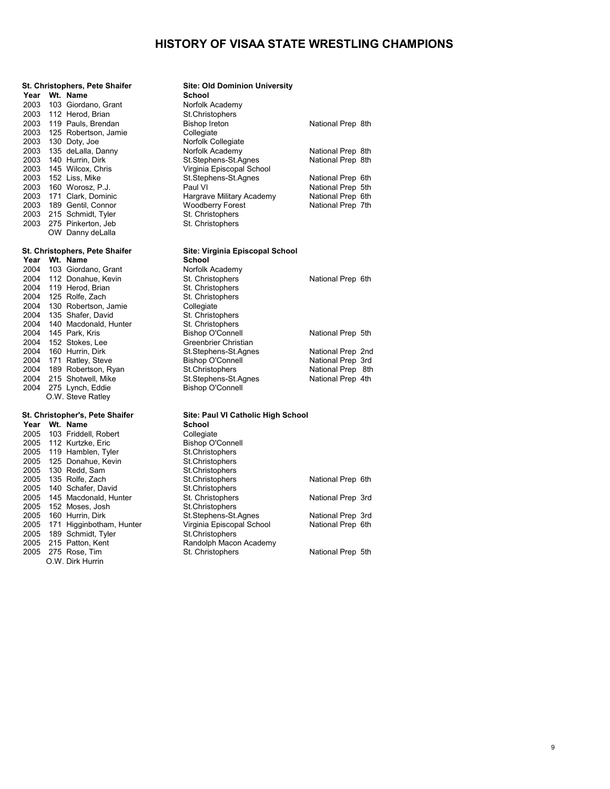|               | St. Christophers, Pete Shaifer           | <b>Site: Old Dominion University</b>       |                                        |  |
|---------------|------------------------------------------|--------------------------------------------|----------------------------------------|--|
| Year          | Wt. Name                                 | <b>School</b>                              |                                        |  |
| 2003          | 103 Giordano, Grant                      | Norfolk Academy                            |                                        |  |
| 2003          | 112 Herod, Brian                         | St.Christophers                            |                                        |  |
| 2003          | 119 Pauls, Brendan                       | <b>Bishop Ireton</b>                       | National Prep 8th                      |  |
| 2003          | 125 Robertson, Jamie                     | Collegiate                                 |                                        |  |
| 2003          | 130 Doty, Joe                            | Norfolk Collegiate                         |                                        |  |
| 2003          | 135 deLalla, Danny                       | Norfolk Academy                            | National Prep 8th                      |  |
| 2003          | 140 Hurrin, Dirk                         | St.Stephens-St.Agnes                       | National Prep 8th                      |  |
| 2003          | 145 Wilcox, Chris                        | Virginia Episcopal School                  |                                        |  |
| 2003          | 152 Liss, Mike                           | St.Stephens-St.Agnes                       | National Prep 6th                      |  |
| 2003          | 160 Worosz, P.J.                         | Paul VI                                    | National Prep 5th                      |  |
| 2003          | 171 Clark, Dominic                       | Hargrave Military Academy                  | National Prep 6th                      |  |
| 2003          | 189 Gentil, Connor                       | <b>Woodberry Forest</b>                    | National Prep 7th                      |  |
| 2003          | 215 Schmidt, Tyler                       | St. Christophers                           |                                        |  |
| 2003          | 275 Pinkerton, Jeb                       | St. Christophers                           |                                        |  |
|               | OW Danny deLalla                         |                                            |                                        |  |
|               |                                          |                                            |                                        |  |
|               | St. Christophers, Pete Shaifer           | Site: Virginia Episcopal School            |                                        |  |
| Year Wt. Name |                                          | <b>School</b>                              |                                        |  |
| 2004          | 103 Giordano, Grant                      | Norfolk Academy                            |                                        |  |
| 2004          | 112 Donahue, Kevin                       | St. Christophers                           | National Prep 6th                      |  |
| 2004          | 119 Herod, Brian                         | St. Christophers                           |                                        |  |
| 2004          | 125 Rolfe, Zach                          | St. Christophers                           |                                        |  |
| 2004          | 130 Robertson, Jamie                     | Collegiate                                 |                                        |  |
| 2004          | 135 Shafer, David                        | St. Christophers                           |                                        |  |
| 2004          | 140 Macdonald, Hunter                    | St. Christophers                           |                                        |  |
| 2004          | 145 Park, Kris                           | <b>Bishop O'Connell</b>                    | National Prep 5th                      |  |
| 2004          | 152 Stokes, Lee                          | Greenbrier Christian                       |                                        |  |
| 2004          | 160 Hurrin, Dirk                         | St.Stephens-St.Agnes                       | National Prep 2nd                      |  |
| 2004<br>2004  | 171 Ratley, Steve<br>189 Robertson, Ryan | <b>Bishop O'Connell</b><br>St.Christophers | National Prep 3rd<br>National Prep 8th |  |
| 2004          | 215 Shotwell, Mike                       | St.Stephens-St.Agnes                       | National Prep 4th                      |  |
|               | 2004 275 Lynch, Eddie                    | <b>Bishop O'Connell</b>                    |                                        |  |
|               | O.W. Steve Ratley                        |                                            |                                        |  |
|               |                                          |                                            |                                        |  |
|               | St. Christopher's, Pete Shaifer          | Site: Paul VI Catholic High School         |                                        |  |
| Year Wt. Name |                                          | <b>School</b>                              |                                        |  |
| 2005          | 103 Friddell, Robert                     | Collegiate                                 |                                        |  |
| 2005          | 112 Kurtzke, Eric                        | <b>Bishop O'Connell</b>                    |                                        |  |
| 2005          | 119 Hamblen, Tyler                       | St.Christophers                            |                                        |  |
| 2005          | 125 Donahue, Kevin                       | St.Christophers                            |                                        |  |
| 2005          | 130 Redd, Sam                            | St.Christophers                            |                                        |  |
| 2005          | 135 Rolfe, Zach                          | St.Christophers                            | National Prep 6th                      |  |
| 2005          | 140 Schafer, David                       | St.Christophers                            |                                        |  |
| 2005          | 145 Macdonald, Hunter                    | St. Christophers                           | National Prep 3rd                      |  |
| 2005          | 152 Moses, Josh                          | St.Christophers                            |                                        |  |
| 2005          | 160 Hurrin, Dirk                         | St.Stephens-St.Agnes                       | National Prep 3rd                      |  |
| 2005          | 171 Higginbotham, Hunter                 | Virginia Episcopal School                  | National Prep 6th                      |  |
| 2005          | 189 Schmidt, Tyler                       | St.Christophers                            |                                        |  |
| 2005          | 215 Patton, Kent                         | Randolph Macon Academy                     |                                        |  |
| 2005          | 275 Rose, Tim                            | St. Christophers                           | National Prep 5th                      |  |
|               | O.W. Dirk Hurrin                         |                                            |                                        |  |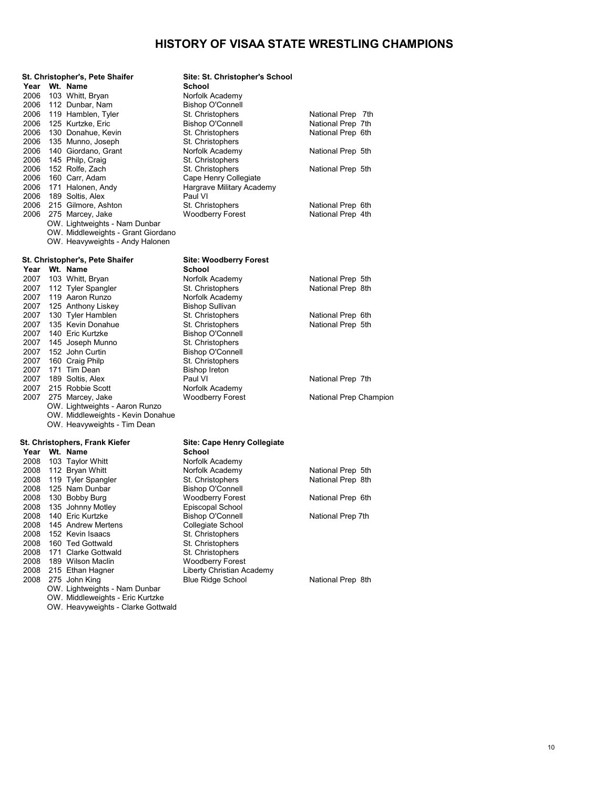| Year         | St. Christopher's, Pete Shaifer<br>Wt. Name | Site: St. Christopher's School<br><b>School</b> |                                        |  |
|--------------|---------------------------------------------|-------------------------------------------------|----------------------------------------|--|
| 2006         | 103 Whitt, Bryan                            | Norfolk Academy                                 |                                        |  |
| 2006         | 112 Dunbar, Nam                             | Bishop O'Connell                                |                                        |  |
| 2006         | 119 Hamblen, Tyler                          | St. Christophers                                | National Prep 7th                      |  |
| 2006         | 125 Kurtzke, Eric                           | <b>Bishop O'Connell</b>                         | National Prep 7th                      |  |
| 2006         | 130 Donahue, Kevin                          | St. Christophers                                | National Prep 6th                      |  |
| 2006         | 135 Munno, Joseph                           | St. Christophers                                |                                        |  |
| 2006         | 140 Giordano, Grant                         | Norfolk Academy                                 | National Prep 5th                      |  |
| 2006         | 145 Philp, Craig                            | St. Christophers                                |                                        |  |
| 2006         | 152 Rolfe, Zach                             | St. Christophers                                | National Prep 5th                      |  |
| 2006         | 160 Carr, Adam                              | Cape Henry Collegiate                           |                                        |  |
| 2006         | 171 Halonen, Andy                           | Hargrave Military Academy                       |                                        |  |
| 2006         | 189 Soltis, Alex                            | Paul VI                                         |                                        |  |
| 2006         | 215 Gilmore, Ashton                         | St. Christophers                                | National Prep 6th                      |  |
| 2006         | 275 Marcey, Jake                            | <b>Woodberry Forest</b>                         | National Prep 4th                      |  |
|              | OW. Lightweights - Nam Dunbar               |                                                 |                                        |  |
|              | OW. Middleweights - Grant Giordano          |                                                 |                                        |  |
|              | OW. Heavyweights - Andy Halonen             |                                                 |                                        |  |
|              | St. Christopher's, Pete Shaifer             | <b>Site: Woodberry Forest</b>                   |                                        |  |
|              | Year Wt. Name                               | School                                          |                                        |  |
| 2007         | 103 Whitt, Bryan                            | Norfolk Academy                                 | National Prep 5th                      |  |
| 2007         | 112 Tyler Spangler                          | St. Christophers                                | National Prep 8th                      |  |
| 2007         | 119 Aaron Runzo                             | Norfolk Academy                                 |                                        |  |
| 2007<br>2007 | 125 Anthony Liskey                          | <b>Bishop Sullivan</b>                          |                                        |  |
| 2007         | 130 Tyler Hamblen<br>135 Kevin Donahue      | St. Christophers<br>St. Christophers            | National Prep 6th<br>National Prep 5th |  |
| 2007         | 140 Eric Kurtzke                            | <b>Bishop O'Connell</b>                         |                                        |  |
| 2007         | 145 Joseph Munno                            | St. Christophers                                |                                        |  |
| 2007         | 152 John Curtin                             | <b>Bishop O'Connell</b>                         |                                        |  |
| 2007         | 160 Craig Philp                             | St. Christophers                                |                                        |  |
| 2007         | 171 Tim Dean                                | <b>Bishop Ireton</b>                            |                                        |  |
| 2007         | 189 Soltis, Alex                            | Paul VI                                         | National Prep 7th                      |  |
| 2007         | 215 Robbie Scott                            | Norfolk Academy                                 |                                        |  |
| 2007         | 275 Marcey, Jake                            | <b>Woodberry Forest</b>                         | National Prep Champion                 |  |
|              | OW. Lightweights - Aaron Runzo              |                                                 |                                        |  |
|              | OW. Middleweights - Kevin Donahue           |                                                 |                                        |  |
|              | OW. Heavyweights - Tim Dean                 |                                                 |                                        |  |
|              | St. Christophers, Frank Kiefer              | <b>Site: Cape Henry Collegiate</b>              |                                        |  |
|              | Year Wt. Name                               | School                                          |                                        |  |
| 2008         | 103 Taylor Whitt                            | Norfolk Academy                                 |                                        |  |
| 2008         | 112 Bryan Whitt                             | Norfolk Academy                                 | National Prep 5th                      |  |
| 2008         | 119 Tyler Spangler                          | St. Christophers                                | National Prep 8th                      |  |
| 2008         | 125 Nam Dunbar                              | <b>Bishop O'Connell</b>                         |                                        |  |
| 2008         | 130 Bobby Burg                              | <b>Woodberry Forest</b>                         | National Prep 6th                      |  |
| 2008         | 135 Johnny Motley                           | Episcopal School                                |                                        |  |
| 2008         | 140 Eric Kurtzke                            | <b>Bishop O'Connell</b>                         | National Prep 7th                      |  |
| 2008         | 145 Andrew Mertens                          | Collegiate School                               |                                        |  |
| 2008         | 152 Kevin Isaacs                            | St. Christophers                                |                                        |  |
| 2008<br>2008 | 160 Ted Gottwald<br>171 Clarke Gottwald     | St. Christophers<br>St. Christophers            |                                        |  |
| 2008         | 189 Wilson Maclin                           | <b>Woodberry Forest</b>                         |                                        |  |
| 2008         | 215 Ethan Hagner                            | Liberty Christian Academy                       |                                        |  |
| 2008         | 275 John King                               | <b>Blue Ridge School</b>                        | National Prep 8th                      |  |
|              | OW. Lightweights - Nam Dunbar               |                                                 |                                        |  |
|              | OW. Middleweights - Eric Kurtzke            |                                                 |                                        |  |

OW. Heavyweights - Clarke Gottwald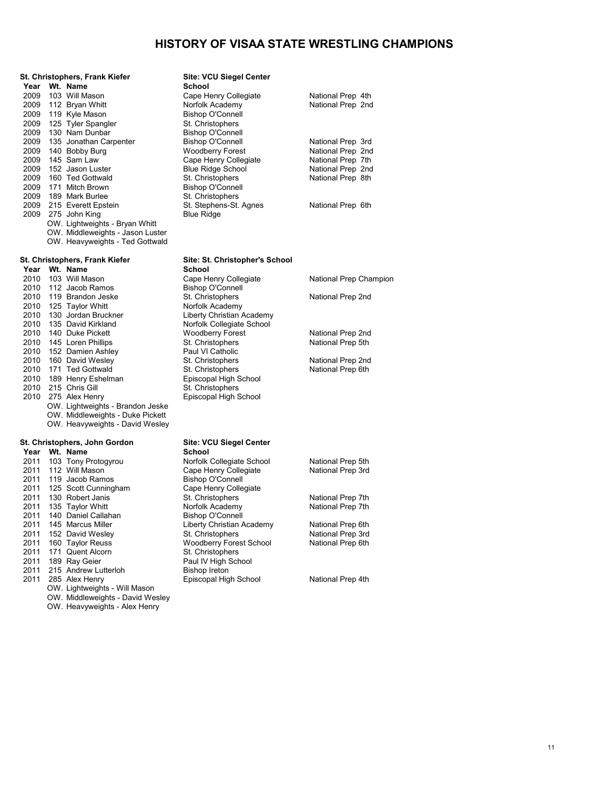|              | St. Christophers, Frank Kiefer       | Site: VCU Siegel Center                          |                                        |
|--------------|--------------------------------------|--------------------------------------------------|----------------------------------------|
| Year         | Wt. Name                             | <b>School</b>                                    |                                        |
| 2009         | 103 Will Mason                       | Cape Henry Collegiate                            | National Prep 4th                      |
| 2009         | 112 Bryan Whitt                      | Norfolk Academy                                  | National Prep 2nd                      |
| 2009         | 119 Kyle Mason                       | <b>Bishop O'Connell</b>                          |                                        |
| 2009         | 125 Tyler Spangler                   | St. Christophers                                 |                                        |
| 2009         | 130 Nam Dunbar                       | <b>Bishop O'Connell</b>                          |                                        |
| 2009<br>2009 | 135 Jonathan Carpenter               | <b>Bishop O'Connell</b>                          | National Prep 3rd                      |
| 2009         | 140 Bobby Burg<br>145 Sam Law        | <b>Woodberry Forest</b><br>Cape Henry Collegiate | National Prep 2nd<br>National Prep 7th |
| 2009         | 152 Jason Luster                     | <b>Blue Ridge School</b>                         | National Prep 2nd                      |
| 2009         | 160 Ted Gottwald                     | St. Christophers                                 | National Prep 8th                      |
| 2009         | 171 Mitch Brown                      | <b>Bishop O'Connell</b>                          |                                        |
| 2009         | 189 Mark Burlee                      | St. Christophers                                 |                                        |
| 2009         | 215 Everett Epstein                  | St. Stephens-St. Agnes                           | National Prep 6th                      |
|              | 2009 275 John King                   | <b>Blue Ridge</b>                                |                                        |
|              | OW. Lightweights - Bryan Whitt       |                                                  |                                        |
|              | OW. Middleweights - Jason Luster     |                                                  |                                        |
|              | OW. Heavyweights - Ted Gottwald      |                                                  |                                        |
|              | St. Christophers, Frank Kiefer       | Site: St. Christopher's School                   |                                        |
|              | Year Wt. Name                        | School                                           |                                        |
| 2010         | 103 Will Mason                       | Cape Henry Collegiate                            | National Prep Champion                 |
| 2010         | 112 Jacob Ramos                      | <b>Bishop O'Connell</b>                          |                                        |
| 2010         | 119 Brandon Jeske                    | St. Christophers                                 | National Prep 2nd                      |
| 2010         | 125 Taylor Whitt                     | Norfolk Academy                                  |                                        |
| 2010         | 130 Jordan Bruckner                  | Liberty Christian Academy                        |                                        |
| 2010         | 135 David Kirkland                   | Norfolk Collegiate School                        |                                        |
| 2010         | 140 Duke Pickett                     | <b>Woodberry Forest</b>                          | National Prep 2nd                      |
| 2010         | 145 Loren Phillips                   | St. Christophers                                 | National Prep 5th                      |
| 2010         | 152 Damien Ashley                    | Paul VI Catholic                                 |                                        |
| 2010         | 160 David Wesley                     | St. Christophers                                 | National Prep 2nd                      |
| 2010         | 171 Ted Gottwald                     | St. Christophers                                 | National Prep 6th                      |
| 2010         | 189 Henry Eshelman                   | Episcopal High School                            |                                        |
| 2010         | 215 Chris Gill                       | St. Christophers                                 |                                        |
| 2010         | 275 Alex Henry                       | Episcopal High School                            |                                        |
|              | OW. Lightweights - Brandon Jeske     |                                                  |                                        |
|              | OW. Middleweights - Duke Pickett     |                                                  |                                        |
|              | OW. Heavyweights - David Wesley      |                                                  |                                        |
|              | St. Christophers, John Gordon        | <b>Site: VCU Siegel Center</b>                   |                                        |
|              | Year Wt. Name                        | <b>School</b>                                    |                                        |
| 2011         | 103 Tony Protogyrou                  | Norfolk Collegiate School                        | National Prep 5th                      |
| 2011         | 112 Will Mason                       | Cape Henry Collegiate                            | National Prep 3rd                      |
| 2011         | 119 Jacob Ramos                      | <b>Bishop O'Connell</b>                          |                                        |
| 2011         | 125 Scott Cunningham                 | Cape Henry Collegiate                            |                                        |
| 2011         | 130 Robert Janis                     | St. Christophers                                 | National Prep 7th                      |
| 2011         | 135 Taylor Whitt                     | Norfolk Academy                                  | National Prep 7th                      |
| 2011         | 140 Daniel Callahan                  | Bishop O'Connell<br>Liberty Christian Academy    | National Prep 6th                      |
| 2011<br>2011 | 145 Marcus Miller                    | St. Christophers                                 | National Prep 3rd                      |
| 2011         | 152 David Wesley<br>160 Taylor Reuss | Woodberry Forest School                          | National Prep 6th                      |
| 2011         | 171 Quent Alcorn                     | St. Christophers                                 |                                        |
| 2011         | 189 Ray Geier                        | Paul IV High School                              |                                        |
| 2011         | 215 Andrew Lutterloh                 | <b>Bishop Ireton</b>                             |                                        |
| 2011         | 285 Alex Henry                       | Episcopal High School                            | National Prep 4th                      |
|              | OW. Lightweights - Will Mason        |                                                  |                                        |
|              | OW Middleweights - David Wesley      |                                                  |                                        |

OW. Middleweights - David Wesley OW. Heavyweights - Alex Henry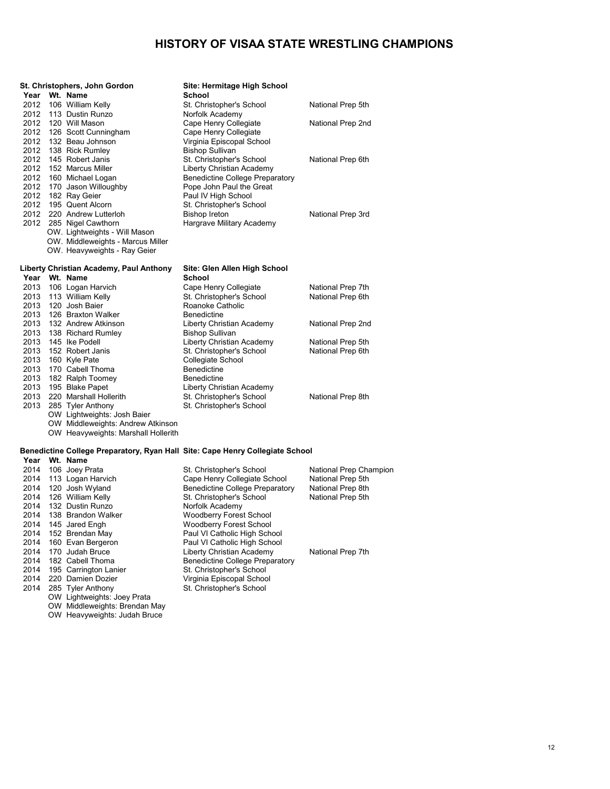|      | St. Christophers, John Gordon           | Site: Hermitage High School                                                   |                        |
|------|-----------------------------------------|-------------------------------------------------------------------------------|------------------------|
| Year | Wt. Name                                | School                                                                        |                        |
| 2012 | 106 William Kelly                       | St. Christopher's School                                                      | National Prep 5th      |
| 2012 | 113 Dustin Runzo                        | Norfolk Academy                                                               |                        |
| 2012 | 120 Will Mason                          | Cape Henry Collegiate                                                         | National Prep 2nd      |
| 2012 | 126 Scott Cunningham                    | Cape Henry Collegiate                                                         |                        |
| 2012 | 132 Beau Johnson                        | Virginia Episcopal School                                                     |                        |
| 2012 | 138 Rick Rumley                         | <b>Bishop Sullivan</b>                                                        |                        |
| 2012 | 145 Robert Janis                        | St. Christopher's School                                                      | National Prep 6th      |
| 2012 | 152 Marcus Miller                       | Liberty Christian Academy                                                     |                        |
| 2012 | 160 Michael Logan                       | <b>Benedictine College Preparatory</b>                                        |                        |
| 2012 | 170 Jason Willoughby                    | Pope John Paul the Great                                                      |                        |
| 2012 | 182 Ray Geier                           | Paul IV High School                                                           |                        |
| 2012 | 195 Quent Alcorn                        | St. Christopher's School                                                      |                        |
|      | 2012 220 Andrew Lutterloh               | <b>Bishop Ireton</b>                                                          | National Prep 3rd      |
|      | 2012 285 Nigel Cawthorn                 | Hargrave Military Academy                                                     |                        |
|      | OW. Lightweights - Will Mason           |                                                                               |                        |
|      | OW. Middleweights - Marcus Miller       |                                                                               |                        |
|      | OW. Heavyweights - Ray Geier            |                                                                               |                        |
|      | Liberty Christian Academy, Paul Anthony | Site: Glen Allen High School                                                  |                        |
|      | Year Wt. Name                           | <b>School</b>                                                                 |                        |
| 2013 | 106 Logan Harvich                       | Cape Henry Collegiate                                                         | National Prep 7th      |
| 2013 | 113 William Kelly                       | St. Christopher's School                                                      | National Prep 6th      |
| 2013 | 120 Josh Baier                          | Roanoke Catholic                                                              |                        |
| 2013 | 126 Braxton Walker                      | <b>Benedictine</b>                                                            |                        |
| 2013 | 132 Andrew Atkinson                     | Liberty Christian Academy                                                     | National Prep 2nd      |
| 2013 | 138 Richard Rumley                      | <b>Bishop Sullivan</b>                                                        |                        |
| 2013 | 145 Ike Podell                          | Liberty Christian Academy                                                     | National Prep 5th      |
| 2013 | 152 Robert Janis                        | St. Christopher's School                                                      | National Prep 6th      |
| 2013 | 160 Kyle Pate                           | Collegiate School                                                             |                        |
| 2013 | 170 Cabell Thoma                        | <b>Benedictine</b>                                                            |                        |
| 2013 | 182 Ralph Toomey                        | <b>Benedictine</b>                                                            |                        |
| 2013 | 195 Blake Papet                         | Liberty Christian Academy                                                     |                        |
| 2013 | 220 Marshall Hollerith                  | St. Christopher's School                                                      | National Prep 8th      |
| 2013 | 285 Tyler Anthony                       | St. Christopher's School                                                      |                        |
|      | OW Lightweights: Josh Baier             |                                                                               |                        |
|      | OW Middleweights: Andrew Atkinson       |                                                                               |                        |
|      | OW Heavyweights: Marshall Hollerith     |                                                                               |                        |
|      |                                         | Benedictine College Preparatory, Ryan Hall Site: Cape Henry Collegiate School |                        |
|      | Year Wt. Name                           |                                                                               |                        |
| 2014 | 106 Joey Prata                          | St. Christopher's School                                                      | National Prep Champion |
| 2014 | 113 Logan Harvich                       | Cape Henry Collegiate School                                                  | National Prep 5th      |
| 2014 | 120 Josh Wyland                         | <b>Benedictine College Preparatory</b>                                        | National Prep 8th      |
| 2014 | 126 William Kelly                       | St. Christopher's School                                                      | National Prep 5th      |
| 2014 | 132 Dustin Runzo                        | Norfolk Academy                                                               |                        |
| 2014 | 138 Brandon Walker                      | <b>Woodberry Forest School</b>                                                |                        |
| 2014 | 145 Jared Engh                          | <b>Woodberry Forest School</b>                                                |                        |
| 2014 | 152 Brendan May                         | Paul VI Catholic High School                                                  |                        |
| 2014 | 160 Evan Bergeron                       | Paul VI Catholic High School                                                  |                        |
| 2014 | 170 Judah Bruce                         | Liberty Christian Academy                                                     | National Prep 7th      |
| 2014 | 182 Cabell Thoma                        | <b>Benedictine College Preparatory</b>                                        |                        |
| 2014 | 195 Carrington Lanier                   | St. Christopher's School                                                      |                        |
| 2014 | 220 Damien Dozier                       | Virginia Episcopal School                                                     |                        |
| 2014 | 285 Tyler Anthony                       | St. Christopher's School                                                      |                        |
|      | OW Lightweights: Joey Prata             |                                                                               |                        |

OW Middleweights: Brendan May OW Heavyweights: Judah Bruce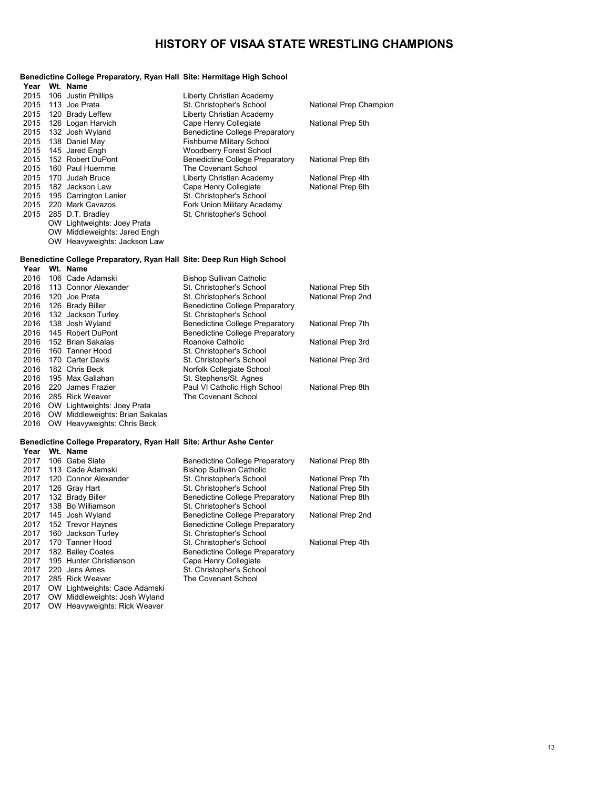|      | Benedictine College Preparatory, Ryan Hall  Site: Hermitage High School              |                                                                           |                                        |
|------|--------------------------------------------------------------------------------------|---------------------------------------------------------------------------|----------------------------------------|
|      | Year Wt. Name                                                                        |                                                                           |                                        |
| 2015 | 106 Justin Phillips                                                                  | Liberty Christian Academy                                                 |                                        |
| 2015 | 113 Joe Prata                                                                        | St. Christopher's School                                                  | National Prep Champion                 |
| 2015 | 120 Brady Leffew                                                                     | Liberty Christian Academy                                                 |                                        |
| 2015 | 126 Logan Harvich                                                                    | Cape Henry Collegiate                                                     | National Prep 5th                      |
| 2015 | 132 Josh Wyland                                                                      | <b>Benedictine College Preparatory</b>                                    |                                        |
| 2015 | 138 Daniel May                                                                       | <b>Fishburne Military School</b>                                          |                                        |
| 2015 | 145 Jared Engh                                                                       | <b>Woodberry Forest School</b>                                            |                                        |
| 2015 | 152 Robert DuPont                                                                    | <b>Benedictine College Preparatory</b>                                    | National Prep 6th                      |
| 2015 | 160 Paul Huemme                                                                      | The Covenant School                                                       |                                        |
| 2015 | 170 Judah Bruce                                                                      | Liberty Christian Academy                                                 | National Prep 4th                      |
| 2015 | 182 Jackson Law                                                                      | Cape Henry Collegiate                                                     | National Prep 6th                      |
| 2015 | 195 Carrington Lanier                                                                | St. Christopher's School                                                  |                                        |
| 2015 | 220 Mark Cavazos                                                                     | Fork Union Military Academy                                               |                                        |
| 2015 | 285 D.T. Bradley                                                                     | St. Christopher's School                                                  |                                        |
|      | OW Lightweights: Joey Prata                                                          |                                                                           |                                        |
|      | OW Middleweights: Jared Engh                                                         |                                                                           |                                        |
|      | OW Heavyweights: Jackson Law                                                         |                                                                           |                                        |
|      | Benedictine College Preparatory, Ryan Hall Site: Deep Run High School                |                                                                           |                                        |
| Year | Wt. Name                                                                             |                                                                           |                                        |
| 2016 | 106 Cade Adamski                                                                     | <b>Bishop Sullivan Catholic</b>                                           |                                        |
| 2016 | 113 Connor Alexander                                                                 | St. Christopher's School                                                  | National Prep 5th                      |
| 2016 | 120 Joe Prata                                                                        | St. Christopher's School                                                  | National Prep 2nd                      |
| 2016 | 126 Brady Biller                                                                     | <b>Benedictine College Preparatory</b>                                    |                                        |
| 2016 | 132 Jackson Turley                                                                   | St. Christopher's School                                                  |                                        |
| 2016 | 138 Josh Wyland                                                                      | <b>Benedictine College Preparatory</b>                                    | National Prep 7th                      |
| 2016 | 145 Robert DuPont                                                                    | <b>Benedictine College Preparatory</b>                                    |                                        |
| 2016 | 152 Brian Sakalas                                                                    | Roanoke Catholic                                                          | National Prep 3rd                      |
| 2016 | 160 Tanner Hood                                                                      | St. Christopher's School                                                  |                                        |
| 2016 | 170 Carter Davis                                                                     | St. Christopher's School                                                  | National Prep 3rd                      |
| 2016 | 182 Chris Beck                                                                       | Norfolk Collegiate School                                                 |                                        |
| 2016 | 195 Max Gallahan                                                                     | St. Stephens/St. Agnes                                                    |                                        |
| 2016 | 220 James Frazier                                                                    | Paul VI Catholic High School                                              | National Prep 8th                      |
| 2016 | 285 Rick Weaver                                                                      | The Covenant School                                                       |                                        |
|      | 2016 OW Lightweights: Joey Prata                                                     |                                                                           |                                        |
|      | 2016 OW Middleweights: Brian Sakalas<br>2016 OW Heavyweights: Chris Beck             |                                                                           |                                        |
|      |                                                                                      |                                                                           |                                        |
|      | Benedictine College Preparatory, Ryan Hall Site: Arthur Ashe Center<br>Year Wt. Name |                                                                           |                                        |
| 2017 | 106 Gabe Slate                                                                       |                                                                           |                                        |
| 2017 | 113 Cade Adamski                                                                     | <b>Benedictine College Preparatory</b><br><b>Bishop Sullivan Catholic</b> | National Prep 8th                      |
| 2017 | 120 Connor Alexander                                                                 |                                                                           |                                        |
| 2017 | 126 Gray Hart                                                                        | St. Christopher's School<br>St. Christopher's School                      | National Prep 7th<br>National Prep 5th |
| 2017 | 132 Brady Biller                                                                     | <b>Benedictine College Preparatory</b>                                    | National Prep 8th                      |
| 2017 | 138 Bo Williamson                                                                    | St. Christopher's School                                                  |                                        |
| 2017 | 145 Josh Wyland                                                                      | <b>Benedictine College Preparatory</b>                                    | National Prep 2nd                      |
| 2017 | 152 Trevor Haynes                                                                    | <b>Benedictine College Preparatory</b>                                    |                                        |
| 2017 | 160 Jackson Turley                                                                   | St. Christopher's School                                                  |                                        |
| 2017 | 170 Tanner Hood                                                                      | St. Christopher's School                                                  | National Prep 4th                      |
|      |                                                                                      |                                                                           |                                        |

2017 182 Bailey Coates **Benedictine College Preparatory**  195 Hunter Christianson Cape Henry Collegiate 2017 220 Jens Ames St. Christopher's School 285 Rick Weaver The Covenant School

 OW Lightweights: Cade Adamski OW Middleweights: Josh Wyland OW Heavyweights: Rick Weaver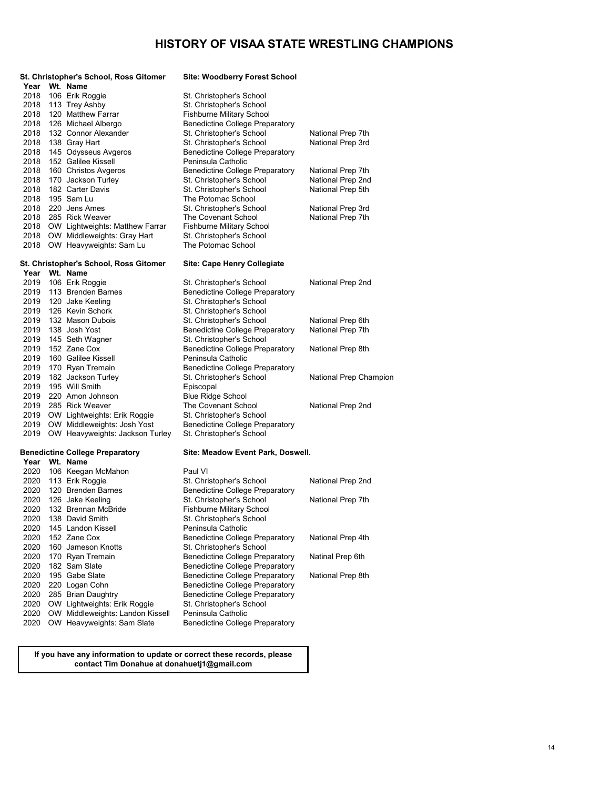|              | St. Christopher's School, Ross Gitomer<br>Year Wt. Name | <b>Site: Woodberry Forest School</b>                         |                        |
|--------------|---------------------------------------------------------|--------------------------------------------------------------|------------------------|
| 2018         | 106 Erik Roggie                                         | St. Christopher's School                                     |                        |
| 2018         | 113 Trey Ashby                                          | St. Christopher's School                                     |                        |
| 2018         | 120 Matthew Farrar                                      | <b>Fishburne Military School</b>                             |                        |
| 2018         | 126 Michael Albergo                                     | <b>Benedictine College Preparatory</b>                       |                        |
| 2018         | 132 Connor Alexander                                    | St. Christopher's School                                     | National Prep 7th      |
| 2018         | 138 Gray Hart                                           | St. Christopher's School                                     | National Prep 3rd      |
| 2018         | 145 Odysseus Avgeros                                    | <b>Benedictine College Preparatory</b>                       |                        |
| 2018         | 152 Galilee Kissell                                     | Peninsula Catholic                                           |                        |
| 2018         | 160 Christos Avgeros                                    | <b>Benedictine College Preparatory</b>                       | National Prep 7th      |
| 2018         | 170 Jackson Turley                                      | St. Christopher's School                                     | National Prep 2nd      |
| 2018         | 182 Carter Davis                                        | St. Christopher's School                                     | National Prep 5th      |
| 2018         | 195 Sam Lu                                              | The Potomac School                                           |                        |
| 2018         | 220 Jens Ames                                           | St. Christopher's School                                     | National Prep 3rd      |
| 2018         | 285 Rick Weaver                                         | The Covenant School                                          | National Prep 7th      |
|              | 2018 OW Lightweights: Matthew Farrar                    | <b>Fishburne Military School</b>                             |                        |
|              | 2018 OW Middleweights: Gray Hart                        | St. Christopher's School                                     |                        |
|              | 2018 OW Heavyweights: Sam Lu                            | The Potomac School                                           |                        |
|              | St. Christopher's School, Ross Gitomer                  | Site: Cape Henry Collegiate                                  |                        |
|              | Year Wt. Name                                           |                                                              |                        |
| 2019         | 106 Erik Roggie                                         | St. Christopher's School                                     | National Prep 2nd      |
| 2019         | 113 Brenden Barnes                                      | <b>Benedictine College Preparatory</b>                       |                        |
| 2019         | 120 Jake Keeling                                        | St. Christopher's School                                     |                        |
| 2019         | 126 Kevin Schork                                        | St. Christopher's School                                     |                        |
| 2019         | 132 Mason Dubois                                        | St. Christopher's School                                     | National Prep 6th      |
| 2019         | 138 Josh Yost                                           | <b>Benedictine College Preparatory</b>                       | National Prep 7th      |
| 2019         | 145 Seth Wagner                                         | St. Christopher's School                                     |                        |
| 2019         | 152 Zane Cox                                            | <b>Benedictine College Preparatory</b>                       | National Prep 8th      |
| 2019<br>2019 | 160 Galilee Kissell<br>170 Ryan Tremain                 | Peninsula Catholic<br><b>Benedictine College Preparatory</b> |                        |
| 2019         | 182 Jackson Turley                                      | St. Christopher's School                                     | National Prep Champion |
| 2019         | 195 Will Smith                                          | Episcopal                                                    |                        |
| 2019         | 220 Amon Johnson                                        | <b>Blue Ridge School</b>                                     |                        |
| 2019         | 285 Rick Weaver                                         | The Covenant School                                          | National Prep 2nd      |
| 2019         | OW Lightweights: Erik Roggie                            | St. Christopher's School                                     |                        |
| 2019         | OW Middleweights: Josh Yost                             | <b>Benedictine College Preparatory</b>                       |                        |
| 2019         | OW Heavyweights: Jackson Turley                         | St. Christopher's School                                     |                        |
|              | <b>Benedictine College Preparatory</b>                  | Site: Meadow Event Park, Doswell.                            |                        |
|              | Year Wt. Name                                           |                                                              |                        |
| 2020         | 106 Keegan McMahon                                      | Paul VI                                                      |                        |
| 2020         | 113 Erik Roggie                                         | St. Christopher's School                                     | National Prep 2nd      |
| 2020         | 120 Brenden Barnes                                      | <b>Benedictine College Preparatory</b>                       |                        |
| 2020         | 126 Jake Keeling                                        | St. Christopher's School                                     | National Prep 7th      |
| 2020         | 132 Brennan McBride                                     | <b>Fishburne Military School</b>                             |                        |
| 2020         | 138 David Smith                                         | St. Christopher's School                                     |                        |
| 2020         | 145 Landon Kissell                                      | Peninsula Catholic                                           |                        |
| 2020         | 152 Zane Cox                                            | <b>Benedictine College Preparatory</b>                       | National Prep 4th      |
| 2020         | 160 Jameson Knotts                                      | St. Christopher's School                                     |                        |
| 2020         | 170 Ryan Tremain                                        | <b>Benedictine College Preparatory</b>                       | Natinal Prep 6th       |
| 2020         | 182 Sam Slate                                           | <b>Benedictine College Preparatory</b>                       |                        |
| 2020         | 195 Gabe Slate                                          | <b>Benedictine College Preparatory</b>                       | National Prep 8th      |
| 2020         | 220 Logan Cohn                                          | <b>Benedictine College Preparatory</b>                       |                        |
| 2020         | 285 Brian Daughtry                                      | <b>Benedictine College Preparatory</b>                       |                        |
| 2020         | OW Lightweights: Erik Roggie                            | St. Christopher's School                                     |                        |
| 2020         | OW Middleweights: Landon Kissell                        | Peninsula Catholic                                           |                        |
| 2020         | OW Heavyweights: Sam Slate                              | <b>Benedictine College Preparatory</b>                       |                        |

**If you have any information to update or correct these records, please contact Tim Donahue at donahuetj1@gmail.com**